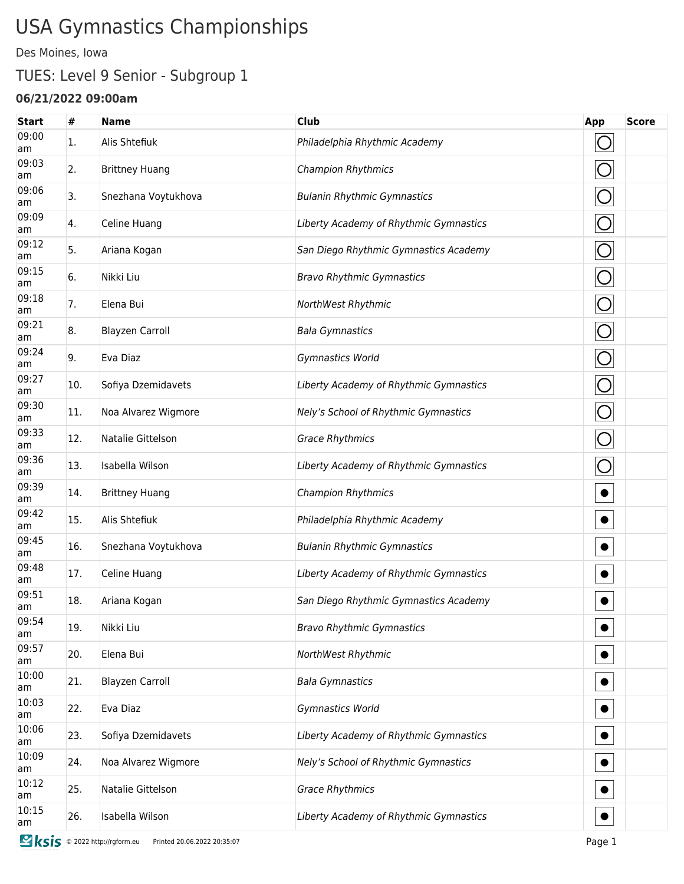# USA Gymnastics Championships

Des Moines, Iowa

## TUES: Level 9 Senior - Subgroup 1

#### **06/21/2022 09:00am**

| <b>Start</b> | #   | <b>Name</b>            | <b>Club</b>                            | App        | <b>Score</b> |
|--------------|-----|------------------------|----------------------------------------|------------|--------------|
| 09:00<br>am  | 1.  | Alis Shtefiuk          | Philadelphia Rhythmic Academy          | O          |              |
| 09:03<br>am  | 2.  | <b>Brittney Huang</b>  | <b>Champion Rhythmics</b>              | O          |              |
| 09:06<br>am  | 3.  | Snezhana Voytukhova    | <b>Bulanin Rhythmic Gymnastics</b>     | $\bigcirc$ |              |
| 09:09<br>am  | 4.  | Celine Huang           | Liberty Academy of Rhythmic Gymnastics | $\bigcirc$ |              |
| 09:12<br>am  | 5.  | Ariana Kogan           | San Diego Rhythmic Gymnastics Academy  | $\bigcirc$ |              |
| 09:15<br>am  | 6.  | Nikki Liu              | <b>Bravo Rhythmic Gymnastics</b>       | $\bigcirc$ |              |
| 09:18<br>am  | 7.  | Elena Bui              | NorthWest Rhythmic                     | $\bigcirc$ |              |
| 09:21<br>am  | 8.  | <b>Blayzen Carroll</b> | <b>Bala Gymnastics</b>                 | $\bigcirc$ |              |
| 09:24<br>am  | 9.  | Eva Diaz               | Gymnastics World                       | $\bigcirc$ |              |
| 09:27<br>am  | 10. | Sofiya Dzemidavets     | Liberty Academy of Rhythmic Gymnastics | O          |              |
| 09:30<br>am  | 11. | Noa Alvarez Wigmore    | Nely's School of Rhythmic Gymnastics   | $\bigcirc$ |              |
| 09:33<br>am  | 12. | Natalie Gittelson      | <b>Grace Rhythmics</b>                 | $\bigcirc$ |              |
| 09:36<br>am  | 13. | Isabella Wilson        | Liberty Academy of Rhythmic Gymnastics | O          |              |
| 09:39<br>am  | 14. | <b>Brittney Huang</b>  | <b>Champion Rhythmics</b>              | $\bullet$  |              |
| 09:42<br>am  | 15. | Alis Shtefiuk          | Philadelphia Rhythmic Academy          | $\bullet$  |              |
| 09:45<br>am  | 16. | Snezhana Voytukhova    | <b>Bulanin Rhythmic Gymnastics</b>     | $\bullet$  |              |
| 09:48<br>am  | 17. | Celine Huang           | Liberty Academy of Rhythmic Gymnastics | $\bullet$  |              |
| 09:51<br>am  | 18. | Ariana Kogan           | San Diego Rhythmic Gymnastics Academy  | $\bullet$  |              |
| 09:54<br>am  | 19. | Nikki Liu              | <b>Bravo Rhythmic Gymnastics</b>       | $\bullet$  |              |
| 09:57<br>am  | 20. | Elena Bui              | NorthWest Rhythmic                     | $\bullet$  |              |
| 10:00<br>am  | 21. | <b>Blayzen Carroll</b> | <b>Bala Gymnastics</b>                 | $\bullet$  |              |
| 10:03<br>am  | 22. | Eva Diaz               | Gymnastics World                       | $\bullet$  |              |
| 10:06<br>am  | 23. | Sofiya Dzemidavets     | Liberty Academy of Rhythmic Gymnastics | $\bullet$  |              |
| 10:09<br>am  | 24. | Noa Alvarez Wigmore    | Nely's School of Rhythmic Gymnastics   | $\bullet$  |              |
| 10:12<br>am  | 25. | Natalie Gittelson      | <b>Grace Rhythmics</b>                 |            |              |
| 10:15<br>am  | 26. | Isabella Wilson        | Liberty Academy of Rhythmic Gymnastics |            |              |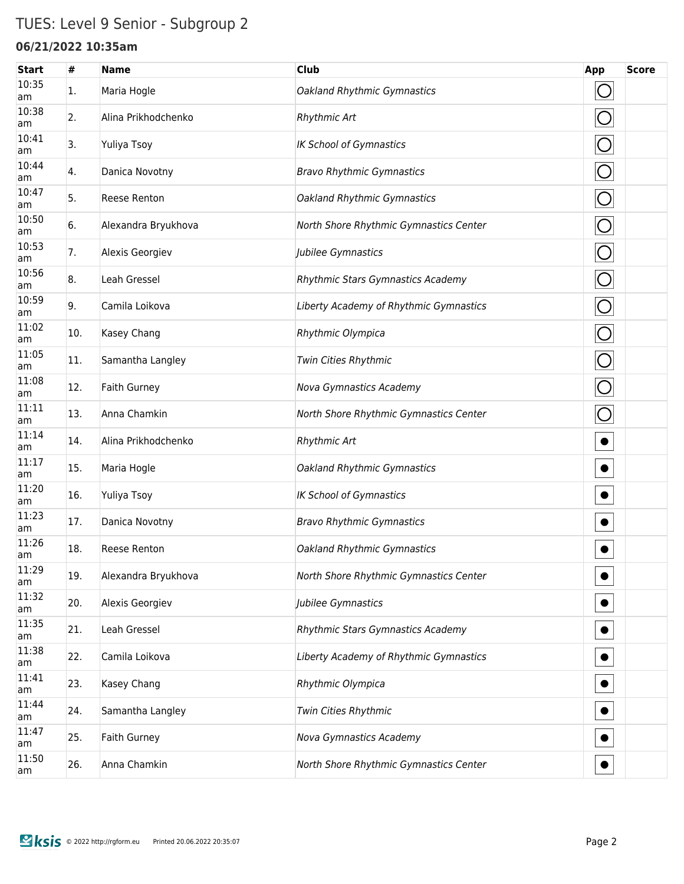## TUES: Level 9 Senior - Subgroup 2

### **06/21/2022 10:35am**

| <b>Start</b> | #   | <b>Name</b>         | <b>Club</b>                            | App        | <b>Score</b> |
|--------------|-----|---------------------|----------------------------------------|------------|--------------|
| 10:35<br>am  | 1.  | Maria Hogle         | Oakland Rhythmic Gymnastics            | $\bigcirc$ |              |
| 10:38<br>am  | 2.  | Alina Prikhodchenko | Rhythmic Art                           | $\bigcirc$ |              |
| 10:41<br>am  | 3.  | Yuliya Tsoy         | <b>IK School of Gymnastics</b>         | $\bigcirc$ |              |
| 10:44<br>am  | 4.  | Danica Novotny      | <b>Bravo Rhythmic Gymnastics</b>       | $\bigcirc$ |              |
| 10:47<br>am  | 5.  | Reese Renton        | Oakland Rhythmic Gymnastics            | $\bigcirc$ |              |
| 10:50<br>am  | 6.  | Alexandra Bryukhova | North Shore Rhythmic Gymnastics Center | $\bigcirc$ |              |
| 10:53<br>am  | 7.  | Alexis Georgiev     | Jubilee Gymnastics                     | $\bigcirc$ |              |
| 10:56<br>am  | 8.  | Leah Gressel        | Rhythmic Stars Gymnastics Academy      | $\bigcirc$ |              |
| 10:59<br>am  | 9.  | Camila Loikova      | Liberty Academy of Rhythmic Gymnastics | $\bigcirc$ |              |
| 11:02<br>am  | 10. | Kasey Chang         | Rhythmic Olympica                      | $\bigcirc$ |              |
| 11:05<br>am  | 11. | Samantha Langley    | Twin Cities Rhythmic                   | $\bigcirc$ |              |
| 11:08<br>am  | 12. | <b>Faith Gurney</b> | Nova Gymnastics Academy                | $\bigcirc$ |              |
| 11:11<br>am  | 13. | Anna Chamkin        | North Shore Rhythmic Gymnastics Center | $\bigcirc$ |              |
| 11:14<br>am  | 14. | Alina Prikhodchenko | <b>Rhythmic Art</b>                    | $\bullet$  |              |
| 11:17<br>am  | 15. | Maria Hogle         | Oakland Rhythmic Gymnastics            | $\bullet$  |              |
| 11:20<br>am  | 16. | Yuliya Tsoy         | <b>IK School of Gymnastics</b>         | $\bullet$  |              |
| 11:23<br>am  | 17. | Danica Novotny      | <b>Bravo Rhythmic Gymnastics</b>       | $\bullet$  |              |
| 11:26<br>am  | 18. | Reese Renton        | Oakland Rhythmic Gymnastics            | $\bullet$  |              |
| 11:29<br>am  | 19. | Alexandra Bryukhova | North Shore Rhythmic Gymnastics Center | $\bullet$  |              |
| 11:32<br>am  | 20. | Alexis Georgiev     | Jubilee Gymnastics                     |            |              |
| 11:35<br>am  | 21. | Leah Gressel        | Rhythmic Stars Gymnastics Academy      |            |              |
| 11:38<br>am  | 22. | Camila Loikova      | Liberty Academy of Rhythmic Gymnastics |            |              |
| 11:41<br>am  | 23. | Kasey Chang         | Rhythmic Olympica                      |            |              |
| 11:44<br>am  | 24. | Samantha Langley    | Twin Cities Rhythmic                   |            |              |
| 11:47<br>am  | 25. | Faith Gurney        | Nova Gymnastics Academy                |            |              |
| 11:50<br>am  | 26. | Anna Chamkin        | North Shore Rhythmic Gymnastics Center |            |              |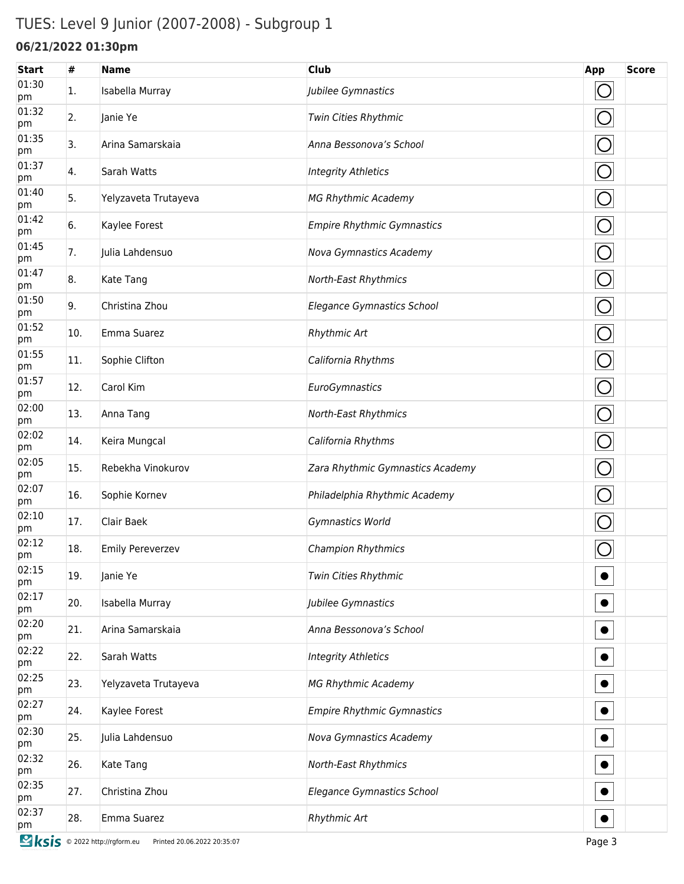## TUES: Level 9 Junior (2007-2008) - Subgroup 1

### **06/21/2022 01:30pm**

| <b>Start</b> | #   | <b>Name</b>                                                         | <b>Club</b>                       | App        | <b>Score</b> |
|--------------|-----|---------------------------------------------------------------------|-----------------------------------|------------|--------------|
| 01:30<br>pm  | 1.  | Isabella Murray                                                     | Jubilee Gymnastics                |            |              |
| 01:32<br>pm  | 2.  | Janie Ye                                                            | Twin Cities Rhythmic              | O          |              |
| 01:35<br>pm  | 3.  | Arina Samarskaia                                                    | Anna Bessonova's School           | O          |              |
| 01:37<br>pm  | 4.  | Sarah Watts                                                         | <b>Integrity Athletics</b>        | $\bigcirc$ |              |
| 01:40<br>pm  | 5.  | Yelyzaveta Trutayeva                                                | <b>MG Rhythmic Academy</b>        | $\bigcirc$ |              |
| 01:42<br>pm  | 6.  | Kaylee Forest                                                       | <b>Empire Rhythmic Gymnastics</b> | $\bigcirc$ |              |
| 01:45<br>pm  | 7.  | Julia Lahdensuo                                                     | Nova Gymnastics Academy           | $\bigcirc$ |              |
| 01:47<br>pm  | 8.  | Kate Tang                                                           | North-East Rhythmics              | $\bigcirc$ |              |
| 01:50<br>pm  | 9.  | Christina Zhou                                                      | <b>Elegance Gymnastics School</b> | $\bigcirc$ |              |
| 01:52<br>pm  | 10. | Emma Suarez                                                         | Rhythmic Art                      | $\bigcirc$ |              |
| 01:55<br>pm  | 11. | Sophie Clifton                                                      | California Rhythms                | $\bigcirc$ |              |
| 01:57<br>pm  | 12. | Carol Kim                                                           | EuroGymnastics                    | $\bigcirc$ |              |
| 02:00<br>pm  | 13. | Anna Tang                                                           | North-East Rhythmics              | $\bigcirc$ |              |
| 02:02<br>pm  | 14. | Keira Mungcal                                                       | California Rhythms                | $\bigcirc$ |              |
| 02:05<br>pm  | 15. | Rebekha Vinokurov                                                   | Zara Rhythmic Gymnastics Academy  | $\bigcirc$ |              |
| 02:07<br>pm  | 16. | Sophie Kornev                                                       | Philadelphia Rhythmic Academy     | $\bigcirc$ |              |
| 02:10<br>pm  | 17. | Clair Baek                                                          | Gymnastics World                  | O          |              |
| 02:12<br>pm  | 18. | <b>Emily Pereverzev</b>                                             | <b>Champion Rhythmics</b>         | $\bigcirc$ |              |
| 02:15<br>pm  | 19. | Janie Ye                                                            | Twin Cities Rhythmic              |            |              |
| 02:17<br>pm  | 20. | Isabella Murray                                                     | Jubilee Gymnastics                |            |              |
| 02:20<br>pm  | 21. | Arina Samarskaia                                                    | Anna Bessonova's School           |            |              |
| 02:22<br>pm  | 22. | Sarah Watts                                                         | <b>Integrity Athletics</b>        |            |              |
| 02:25<br>pm  | 23. | Yelyzaveta Trutayeva                                                | <b>MG Rhythmic Academy</b>        |            |              |
| 02:27<br>pm  | 24. | Kaylee Forest                                                       | <b>Empire Rhythmic Gymnastics</b> |            |              |
| 02:30<br>pm  | 25. | Julia Lahdensuo                                                     | Nova Gymnastics Academy           |            |              |
| 02:32<br>pm  | 26. | Kate Tang                                                           | North-East Rhythmics              |            |              |
| 02:35<br>pm  | 27. | Christina Zhou                                                      | Elegance Gymnastics School        |            |              |
| 02:37<br>pm  | 28. | Emma Suarez                                                         | Rhythmic Art                      |            |              |
|              |     | <b>Sksis</b> © 2022 http://rgform.eu<br>Printed 20.06.2022 20:35:07 |                                   | Page 3     |              |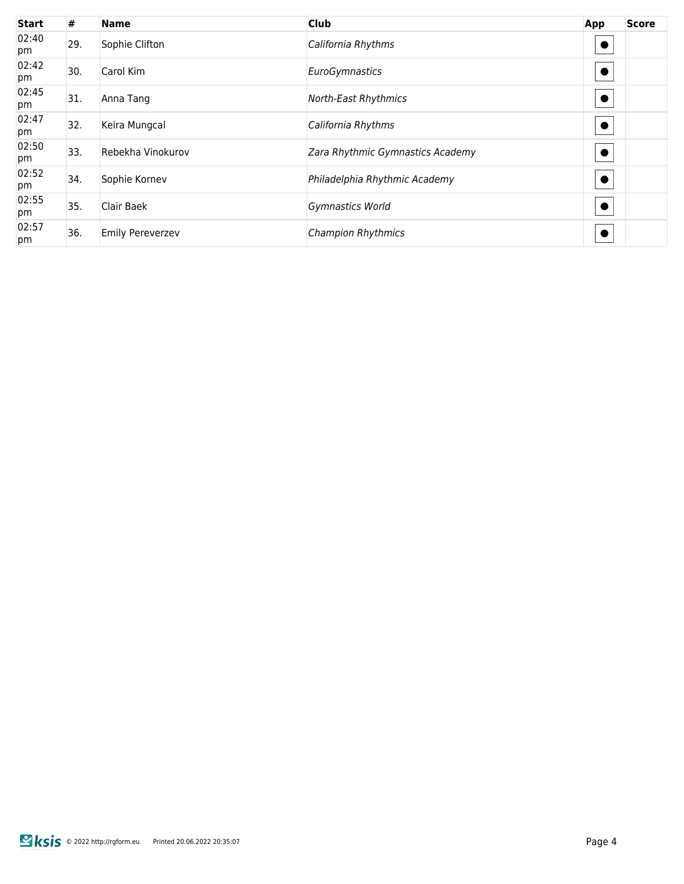| <b>Start</b> | #   | <b>Name</b>             | <b>Club</b>                      | App       | <b>Score</b> |
|--------------|-----|-------------------------|----------------------------------|-----------|--------------|
| 02:40<br>pm  | 29. | Sophie Clifton          | California Rhythms               |           |              |
| 02:42<br>pm  | 30. | Carol Kim               | EuroGymnastics                   | $\bullet$ |              |
| 02:45<br>pm  | 31. | Anna Tang               | North-East Rhythmics             |           |              |
| 02:47<br>pm  | 32. | Keira Mungcal           | California Rhythms               |           |              |
| 02:50<br>pm  | 33. | Rebekha Vinokurov       | Zara Rhythmic Gymnastics Academy | $\bullet$ |              |
| 02:52<br>pm  | 34. | Sophie Kornev           | Philadelphia Rhythmic Academy    |           |              |
| 02:55<br>pm  | 35. | Clair Baek              | Gymnastics World                 |           |              |
| 02:57<br>pm  | 36. | <b>Emily Pereverzev</b> | <b>Champion Rhythmics</b>        |           |              |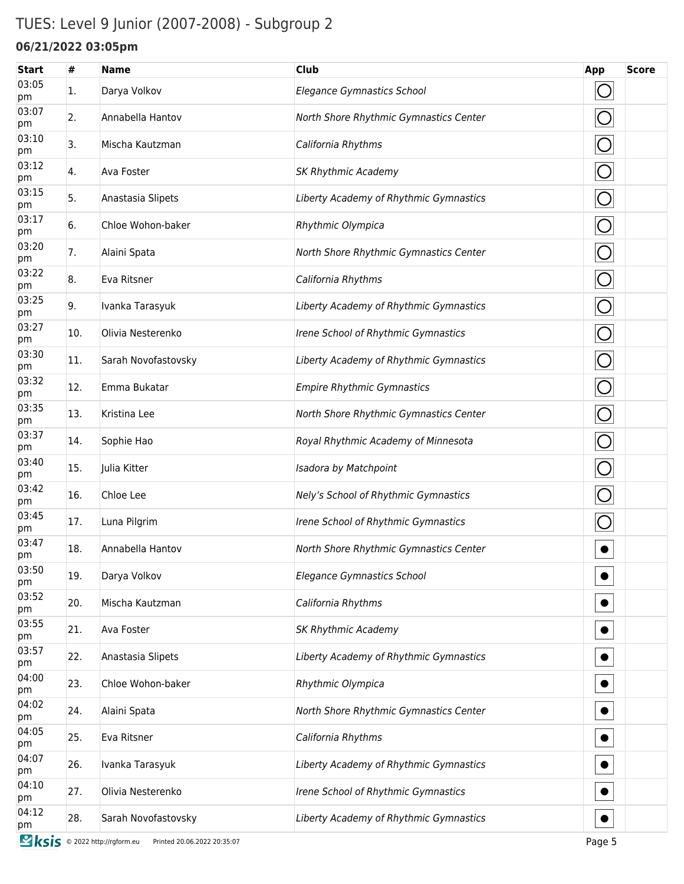## TUES: Level 9 Junior (2007-2008) - Subgroup 2

### **06/21/2022 03:05pm**

| <b>Start</b> | #   | <b>Name</b>                                            | <b>Club</b>                            | App        | <b>Score</b> |
|--------------|-----|--------------------------------------------------------|----------------------------------------|------------|--------------|
| 03:05<br>pm  | 1.  | Darya Volkov                                           | Elegance Gymnastics School             | $\bigcirc$ |              |
| 03:07<br>pm  | 2.  | Annabella Hantov                                       | North Shore Rhythmic Gymnastics Center | $\bigcirc$ |              |
| 03:10<br>pm  | 3.  | Mischa Kautzman                                        | California Rhythms                     | $\bigcirc$ |              |
| 03:12<br>pm  | 4.  | Ava Foster                                             | <b>SK Rhythmic Academy</b>             | $\bigcirc$ |              |
| 03:15<br>pm  | 5.  | Anastasia Slipets                                      | Liberty Academy of Rhythmic Gymnastics | $\bigcirc$ |              |
| 03:17<br>pm  | 6.  | Chloe Wohon-baker                                      | Rhythmic Olympica                      | $\bigcirc$ |              |
| 03:20<br>pm  | 7.  | Alaini Spata                                           | North Shore Rhythmic Gymnastics Center | $\bigcirc$ |              |
| 03:22<br>pm  | 8.  | Eva Ritsner                                            | California Rhythms                     | $\bigcirc$ |              |
| 03:25<br>pm  | 9.  | Ivanka Tarasyuk                                        | Liberty Academy of Rhythmic Gymnastics | $\bigcirc$ |              |
| 03:27<br>pm  | 10. | Olivia Nesterenko                                      | Irene School of Rhythmic Gymnastics    | $\bigcirc$ |              |
| 03:30<br>pm  | 11. | Sarah Novofastovsky                                    | Liberty Academy of Rhythmic Gymnastics | $\bigcirc$ |              |
| 03:32<br>pm  | 12. | Emma Bukatar                                           | <b>Empire Rhythmic Gymnastics</b>      | $\bigcirc$ |              |
| 03:35<br>pm  | 13. | Kristina Lee                                           | North Shore Rhythmic Gymnastics Center | $\bigcirc$ |              |
| 03:37<br>pm  | 14. | Sophie Hao                                             | Royal Rhythmic Academy of Minnesota    | $\bigcirc$ |              |
| 03:40<br>pm  | 15. | Julia Kitter                                           | Isadora by Matchpoint                  | $\bigcirc$ |              |
| 03:42<br>pm  | 16. | Chloe Lee                                              | Nely's School of Rhythmic Gymnastics   | $\bigcirc$ |              |
| 03:45<br>pm  | 17. | Luna Pilgrim                                           | Irene School of Rhythmic Gymnastics    | $\bigcirc$ |              |
| 03:47<br>pm  | 18. | Annabella Hantov                                       | North Shore Rhythmic Gymnastics Center | $\bullet$  |              |
| 03:50<br>pm  | 19. | Darya Volkov                                           | Elegance Gymnastics School             |            |              |
| 03:52<br>pm  | 20. | Mischa Kautzman                                        | California Rhythms                     |            |              |
| 03:55<br>pm  | 21. | Ava Foster                                             | <b>SK Rhythmic Academy</b>             |            |              |
| 03:57<br>pm  | 22. | Anastasia Slipets                                      | Liberty Academy of Rhythmic Gymnastics |            |              |
| 04:00<br>pm  | 23. | Chloe Wohon-baker                                      | Rhythmic Olympica                      |            |              |
| 04:02<br>pm  | 24. | Alaini Spata                                           | North Shore Rhythmic Gymnastics Center |            |              |
| 04:05<br>pm  | 25. | Eva Ritsner                                            | California Rhythms                     |            |              |
| 04:07<br>pm  | 26. | Ivanka Tarasyuk                                        | Liberty Academy of Rhythmic Gymnastics |            |              |
| 04:10<br>pm  | 27. | Olivia Nesterenko                                      | Irene School of Rhythmic Gymnastics    | $\bullet$  |              |
| 04:12<br>pm  | 28. | Sarah Novofastovsky                                    | Liberty Academy of Rhythmic Gymnastics |            |              |
| <b>Sksis</b> |     | © 2022 http://rgform.eu<br>Printed 20.06.2022 20:35:07 |                                        | Page 5     |              |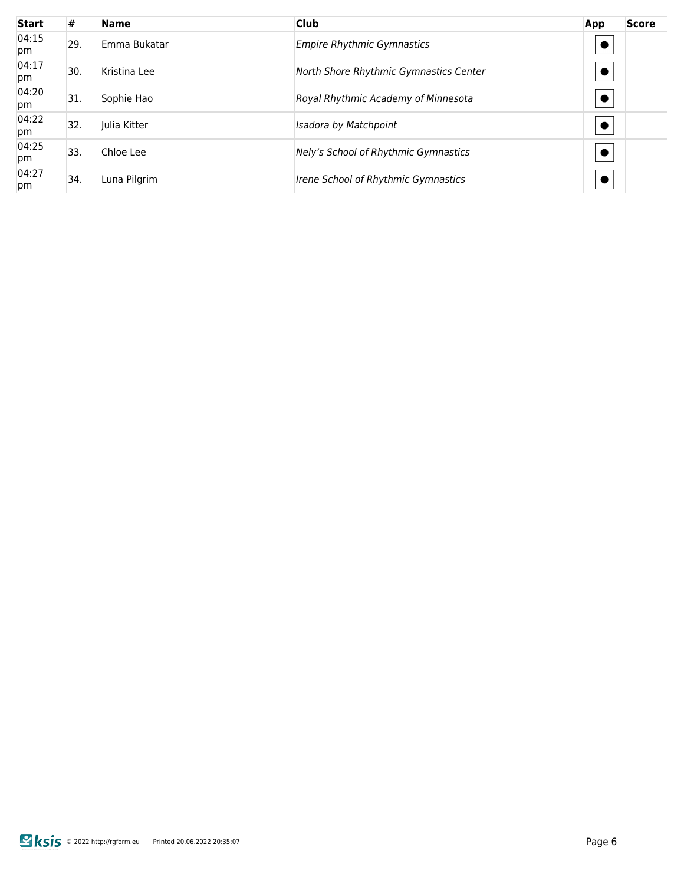| <b>Start</b> | #   | <b>Name</b>  | <b>Club</b>                            | App | <b>Score</b> |
|--------------|-----|--------------|----------------------------------------|-----|--------------|
| 04:15<br>pm  | 29. | Emma Bukatar | <b>Empire Rhythmic Gymnastics</b>      |     |              |
| 04:17<br>pm  | 30. | Kristina Lee | North Shore Rhythmic Gymnastics Center |     |              |
| 04:20<br>pm  | 31. | Sophie Hao   | Royal Rhythmic Academy of Minnesota    |     |              |
| 04:22<br>pm  | 32. | Julia Kitter | Isadora by Matchpoint                  |     |              |
| 04:25<br>pm  | 33. | Chloe Lee    | Nely's School of Rhythmic Gymnastics   |     |              |
| 04:27<br>pm  | 34. | Luna Pilgrim | Irene School of Rhythmic Gymnastics    |     |              |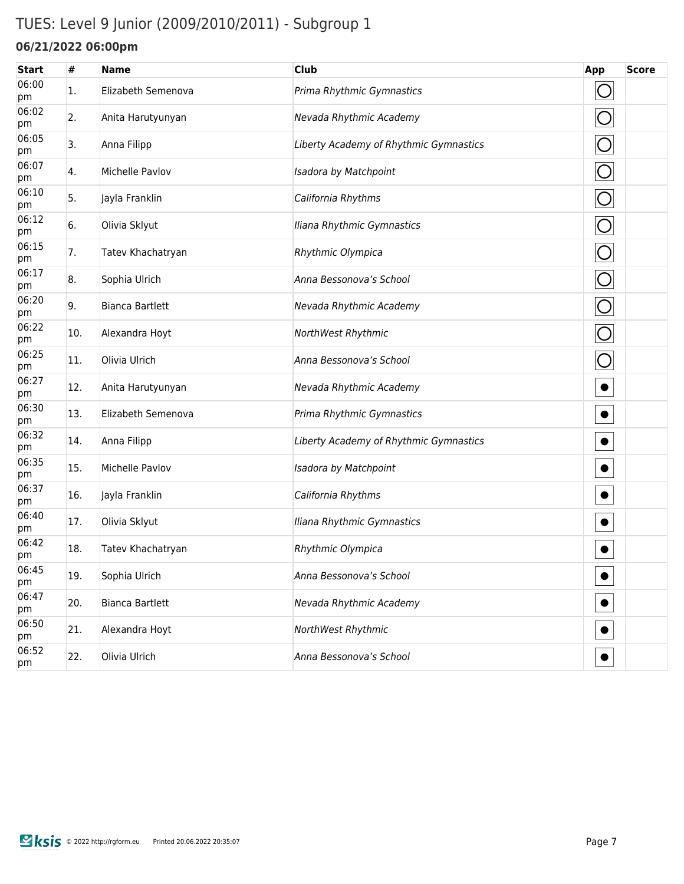## TUES: Level 9 Junior (2009/2010/2011) - Subgroup 1

### **06/21/2022 06:00pm**

| <b>Start</b> | #   | <b>Name</b>            | <b>Club</b>                            | App        | <b>Score</b> |
|--------------|-----|------------------------|----------------------------------------|------------|--------------|
| 06:00<br>pm  | 1.  | Elizabeth Semenova     | Prima Rhythmic Gymnastics              | $\bigcirc$ |              |
| 06:02<br>pm  | 2.  | Anita Harutyunyan      | Nevada Rhythmic Academy                | $\bigcirc$ |              |
| 06:05<br>pm  | 3.  | Anna Filipp            | Liberty Academy of Rhythmic Gymnastics | $\bigcirc$ |              |
| 06:07<br>pm  | 4.  | Michelle Pavlov        | Isadora by Matchpoint                  | $\bigcirc$ |              |
| 06:10<br>pm  | 5.  | Jayla Franklin         | California Rhythms                     | $\bigcirc$ |              |
| 06:12<br>pm  | 6.  | Olivia Sklyut          | Iliana Rhythmic Gymnastics             | $\bigcirc$ |              |
| 06:15<br>pm  | 7.  | Tatev Khachatryan      | Rhythmic Olympica                      | $\bigcirc$ |              |
| 06:17<br>pm  | 8.  | Sophia Ulrich          | Anna Bessonova's School                | $\bigcirc$ |              |
| 06:20<br>pm  | 9.  | <b>Bianca Bartlett</b> | Nevada Rhythmic Academy                | $\bigcirc$ |              |
| 06:22<br>pm  | 10. | Alexandra Hoyt         | NorthWest Rhythmic                     | O          |              |
| 06:25<br>pm  | 11. | Olivia Ulrich          | Anna Bessonova's School                | O          |              |
| 06:27<br>pm  | 12. | Anita Harutyunyan      | Nevada Rhythmic Academy                | $\bullet$  |              |
| 06:30<br>pm  | 13. | Elizabeth Semenova     | Prima Rhythmic Gymnastics              | $\bullet$  |              |
| 06:32<br>pm  | 14. | Anna Filipp            | Liberty Academy of Rhythmic Gymnastics | $\bullet$  |              |
| 06:35<br>pm  | 15. | Michelle Pavlov        | Isadora by Matchpoint                  | $\bullet$  |              |
| 06:37<br>pm  | 16. | Jayla Franklin         | California Rhythms                     | $\bullet$  |              |
| 06:40<br>pm  | 17. | Olivia Sklyut          | Iliana Rhythmic Gymnastics             | $\bullet$  |              |
| 06:42<br>pm  | 18. | Tatev Khachatryan      | Rhythmic Olympica                      | $\bullet$  |              |
| 06:45<br>pm  | 19. | Sophia Ulrich          | Anna Bessonova's School                | $\bullet$  |              |
| 06:47<br>pm  | 20. | <b>Bianca Bartlett</b> | Nevada Rhythmic Academy                | $\bullet$  |              |
| 06:50<br>pm  | 21. | Alexandra Hoyt         | NorthWest Rhythmic                     | $\bullet$  |              |
| 06:52<br>pm  | 22. | Olivia Ulrich          | Anna Bessonova's School                | $\bullet$  |              |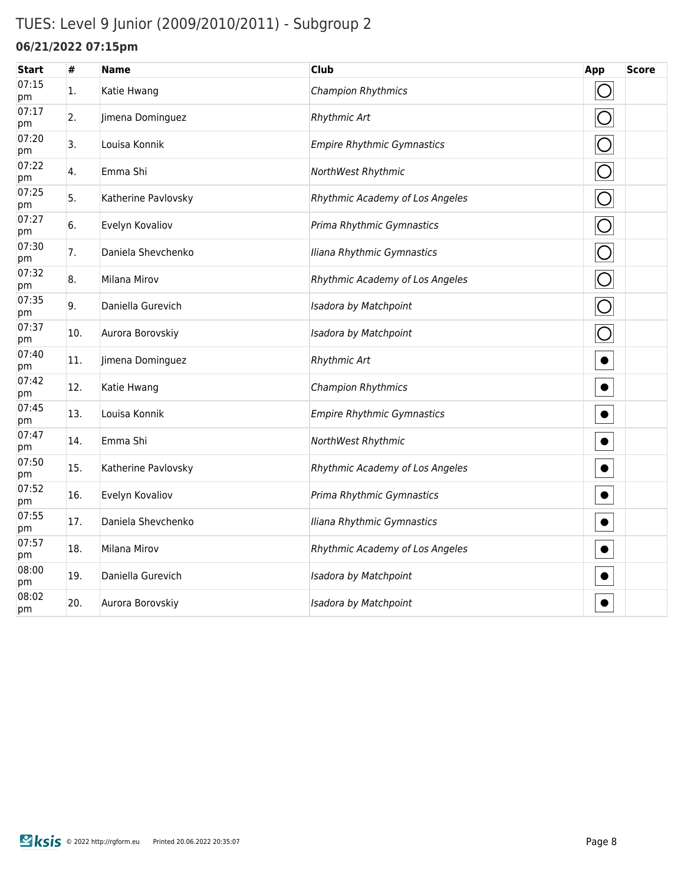## TUES: Level 9 Junior (2009/2010/2011) - Subgroup 2

#### **06/21/2022 07:15pm**

| <b>Start</b> | #   | <b>Name</b>         | <b>Club</b>                       | App        | <b>Score</b> |
|--------------|-----|---------------------|-----------------------------------|------------|--------------|
| 07:15<br>pm  | 1.  | Katie Hwang         | <b>Champion Rhythmics</b>         | $\bigcirc$ |              |
| 07:17<br>pm  | 2.  | Jimena Dominguez    | <b>Rhythmic Art</b>               | O          |              |
| 07:20<br>pm  | 3.  | Louisa Konnik       | <b>Empire Rhythmic Gymnastics</b> | O          |              |
| 07:22<br>pm  | 4.  | Emma Shi            | NorthWest Rhythmic                | $\bigcirc$ |              |
| 07:25<br>pm  | 5.  | Katherine Pavlovsky | Rhythmic Academy of Los Angeles   | O          |              |
| 07:27<br>pm  | 6.  | Evelyn Kovaliov     | Prima Rhythmic Gymnastics         | $\bigcirc$ |              |
| 07:30<br>pm  | 7.  | Daniela Shevchenko  | Iliana Rhythmic Gymnastics        | $\bigcirc$ |              |
| 07:32<br>pm  | 8.  | Milana Mirov        | Rhythmic Academy of Los Angeles   | O          |              |
| 07:35<br>pm  | 9.  | Daniella Gurevich   | Isadora by Matchpoint             |            |              |
| 07:37<br>pm  | 10. | Aurora Borovskiy    | Isadora by Matchpoint             | O          |              |
| 07:40<br>pm  | 11. | Jimena Dominguez    | <b>Rhythmic Art</b>               | $\bullet$  |              |
| 07:42<br>pm  | 12. | Katie Hwang         | Champion Rhythmics                |            |              |
| 07:45<br>pm  | 13. | Louisa Konnik       | <b>Empire Rhythmic Gymnastics</b> |            |              |
| 07:47<br>pm  | 14. | Emma Shi            | NorthWest Rhythmic                |            |              |
| 07:50<br>pm  | 15. | Katherine Pavlovsky | Rhythmic Academy of Los Angeles   | $\bullet$  |              |
| 07:52<br>pm  | 16. | Evelyn Kovaliov     | Prima Rhythmic Gymnastics         |            |              |
| 07:55<br>pm  | 17. | Daniela Shevchenko  | Iliana Rhythmic Gymnastics        | $\bullet$  |              |
| 07:57<br>pm  | 18. | Milana Mirov        | Rhythmic Academy of Los Angeles   |            |              |
| 08:00<br>pm  | 19. | Daniella Gurevich   | Isadora by Matchpoint             |            |              |
| 08:02<br>pm  | 20. | Aurora Borovskiy    | Isadora by Matchpoint             |            |              |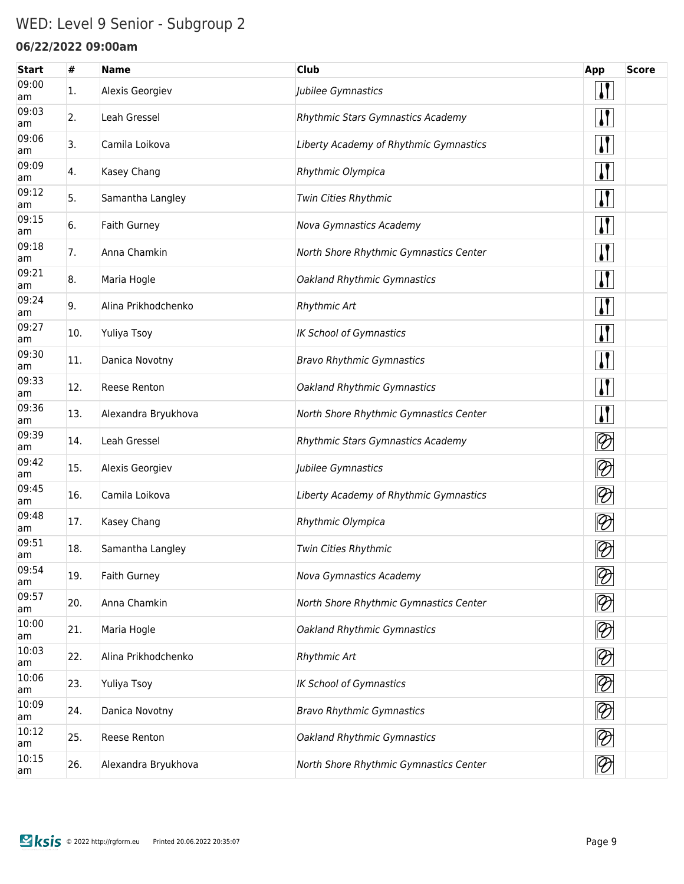## WED: Level 9 Senior - Subgroup 2

#### **06/22/2022 09:00am**

| <b>Start</b> | #   | <b>Name</b>         | <b>Club</b>                            | App                         | <b>Score</b> |
|--------------|-----|---------------------|----------------------------------------|-----------------------------|--------------|
| 09:00<br>am  | 1.  | Alexis Georgiev     | Jubilee Gymnastics                     | $\mathbf{I}$                |              |
| 09:03<br>am  | 2.  | Leah Gressel        | Rhythmic Stars Gymnastics Academy      | $\prod$                     |              |
| 09:06<br>am  | 3.  | Camila Loikova      | Liberty Academy of Rhythmic Gymnastics | $\mathbf{I}$                |              |
| 09:09<br>am  | 4.  | Kasey Chang         | Rhythmic Olympica                      | $\mathbf{\mathsf{N}}$       |              |
| 09:12<br>am  | 5.  | Samantha Langley    | Twin Cities Rhythmic                   | $\mathbf{\mathsf{N}}$       |              |
| 09:15<br>am  | 6.  | Faith Gurney        | <b>Nova Gymnastics Academy</b>         | $\mathbf{\mathsf{N}}$       |              |
| 09:18<br>am  | 7.  | Anna Chamkin        | North Shore Rhythmic Gymnastics Center | $\mathbf{I}$                |              |
| 09:21<br>am  | 8.  | Maria Hogle         | Oakland Rhythmic Gymnastics            | $\mathbf{I}$                |              |
| 09:24<br>am  | 9.  | Alina Prikhodchenko | <b>Rhythmic Art</b>                    | $\mathbf{I}$                |              |
| 09:27<br>am  | 10. | Yuliya Tsoy         | <b>IK School of Gymnastics</b>         | $\mathbf{I}$                |              |
| 09:30<br>am  | 11. | Danica Novotny      | <b>Bravo Rhythmic Gymnastics</b>       | $\mathbf{I}$                |              |
| 09:33<br>am  | 12. | <b>Reese Renton</b> | Oakland Rhythmic Gymnastics            | $\mathbf{I}$                |              |
| 09:36<br>am  | 13. | Alexandra Bryukhova | North Shore Rhythmic Gymnastics Center | $\mathbf{I}$                |              |
| 09:39<br>am  | 14. | Leah Gressel        | Rhythmic Stars Gymnastics Academy      | $\lvert \mathcal{D} \rvert$ |              |
| 09:42<br>am  | 15. | Alexis Georgiev     | Jubilee Gymnastics                     | $ \mathcal{D} $             |              |
| 09:45<br>am  | 16. | Camila Loikova      | Liberty Academy of Rhythmic Gymnastics | $\lvert \mathcal{D} \rvert$ |              |
| 09:48<br>am  | 17. | Kasey Chang         | Rhythmic Olympica                      | $ \mathcal{D} $             |              |
| 09:51<br>am  | 18. | Samantha Langley    | Twin Cities Rhythmic                   | $ \mathcal{D} $             |              |
| 09:54<br>am  | 19. | <b>Faith Gurney</b> | <b>Nova Gymnastics Academy</b>         | $\oslash$                   |              |
| 09:57<br>am  | 20. | Anna Chamkin        | North Shore Rhythmic Gymnastics Center | $\lvert \mathcal{D} \rvert$ |              |
| 10:00<br>am  | 21. | Maria Hogle         | Oakland Rhythmic Gymnastics            | $\lvert \mathcal{D} \rvert$ |              |
| 10:03<br>am  | 22. | Alina Prikhodchenko | Rhythmic Art                           | $ \mathcal{D} $             |              |
| 10:06<br>am  | 23. | Yuliya Tsoy         | <b>IK School of Gymnastics</b>         | $ \mathcal{D} $             |              |
| 10:09<br>am  | 24. | Danica Novotny      | <b>Bravo Rhythmic Gymnastics</b>       | $\lvert \mathcal{D} \rvert$ |              |
| 10:12<br>am  | 25. | Reese Renton        | Oakland Rhythmic Gymnastics            | $\lvert \mathcal{D} \rvert$ |              |
| 10:15<br>am  | 26. | Alexandra Bryukhova | North Shore Rhythmic Gymnastics Center | $\otimes$                   |              |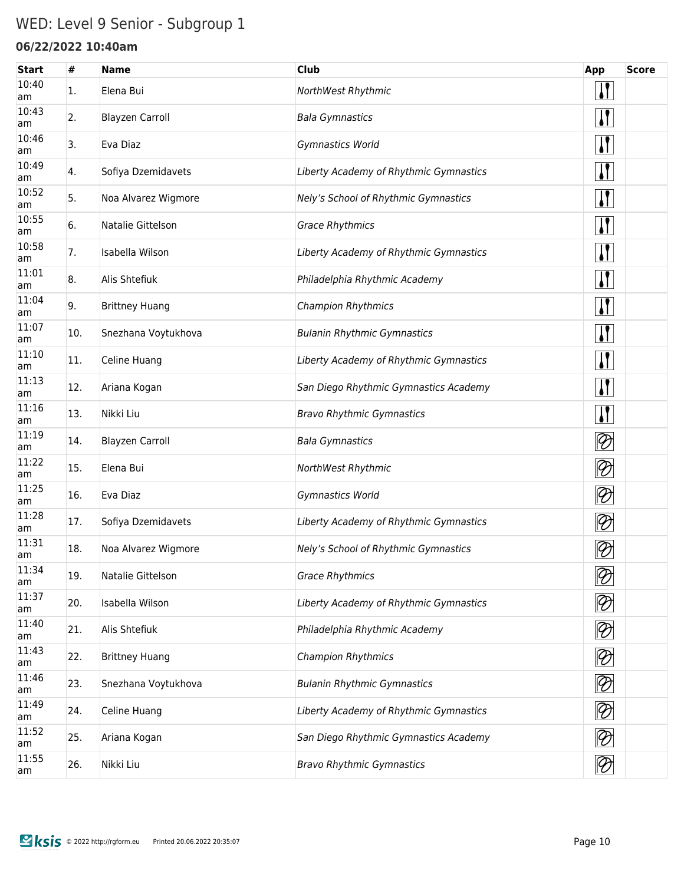## WED: Level 9 Senior - Subgroup 1

### **06/22/2022 10:40am**

| <b>Start</b> | #   | <b>Name</b>            | <b>Club</b>                            | App                         | <b>Score</b> |
|--------------|-----|------------------------|----------------------------------------|-----------------------------|--------------|
| 10:40<br>am  | 1.  | Elena Bui              | NorthWest Rhythmic                     | $\mathbf{\mathbf{I}}$       |              |
| 10:43<br>am  | 2.  | <b>Blayzen Carroll</b> | <b>Bala Gymnastics</b>                 | $\mathbf{I}$                |              |
| 10:46<br>am  | 3.  | Eva Diaz               | Gymnastics World                       | $\mathbf{I}$                |              |
| 10:49<br>am  | 4.  | Sofiya Dzemidavets     | Liberty Academy of Rhythmic Gymnastics | $\mathbf{I}$                |              |
| 10:52<br>am  | 5.  | Noa Alvarez Wigmore    | Nely's School of Rhythmic Gymnastics   | $\mathbf{I}$                |              |
| 10:55<br>am  | 6.  | Natalie Gittelson      | <b>Grace Rhythmics</b>                 | $\boldsymbol{\mathsf{I}}$   |              |
| 10:58<br>am  | 7.  | Isabella Wilson        | Liberty Academy of Rhythmic Gymnastics | <u>  </u>                   |              |
| 11:01<br>am  | 8.  | Alis Shtefiuk          | Philadelphia Rhythmic Academy          | $\mathbf{I}$                |              |
| 11:04<br>am  | 9.  | <b>Brittney Huang</b>  | <b>Champion Rhythmics</b>              | $\mathbf{I}$                |              |
| 11:07<br>am  | 10. | Snezhana Voytukhova    | <b>Bulanin Rhythmic Gymnastics</b>     | $\mathbf{I}$                |              |
| 11:10<br>am  | 11. | Celine Huang           | Liberty Academy of Rhythmic Gymnastics | $\mathbf{I}$                |              |
| 11:13<br>am  | 12. | Ariana Kogan           | San Diego Rhythmic Gymnastics Academy  | $\mathbf{I}$                |              |
| 11:16<br>am  | 13. | Nikki Liu              | <b>Bravo Rhythmic Gymnastics</b>       | $\boldsymbol{\mathsf{I}}$   |              |
| 11:19<br>am  | 14. | <b>Blayzen Carroll</b> | <b>Bala Gymnastics</b>                 | $ \mathcal{D} $             |              |
| 11:22<br>am  | 15. | Elena Bui              | NorthWest Rhythmic                     | $ \mathcal{D} $             |              |
| 11:25<br>am  | 16. | Eva Diaz               | Gymnastics World                       | $ \mathcal{D} $             |              |
| 11:28<br>am  | 17. | Sofiya Dzemidavets     | Liberty Academy of Rhythmic Gymnastics | $\otimes$                   |              |
| 11:31<br>am  | 18. | Noa Alvarez Wigmore    | Nely's School of Rhythmic Gymnastics   | $\lvert \mathcal{D} \rvert$ |              |
| 11:34<br>am  | 19. | Natalie Gittelson      | <b>Grace Rhythmics</b>                 | $\lvert \mathcal{D} \rvert$ |              |
| 11:37<br>am  | 20. | Isabella Wilson        | Liberty Academy of Rhythmic Gymnastics | $\lvert \mathcal{D} \rvert$ |              |
| 11:40<br>am  | 21. | Alis Shtefiuk          | Philadelphia Rhythmic Academy          | $ \mathcal{D} $             |              |
| 11:43<br>am  | 22. | <b>Brittney Huang</b>  | Champion Rhythmics                     | $\lvert \mathcal{D} \rvert$ |              |
| 11:46<br>am  | 23. | Snezhana Voytukhova    | <b>Bulanin Rhythmic Gymnastics</b>     | $\lvert \mathcal{D} \rvert$ |              |
| 11:49<br>am  | 24. | Celine Huang           | Liberty Academy of Rhythmic Gymnastics | $\lvert \mathcal{D} \rvert$ |              |
| 11:52<br>am  | 25. | Ariana Kogan           | San Diego Rhythmic Gymnastics Academy  | $ \mathcal{D} $             |              |
| 11:55<br>am  | 26. | Nikki Liu              | <b>Bravo Rhythmic Gymnastics</b>       | $\overline{\mathcal{D}}$    |              |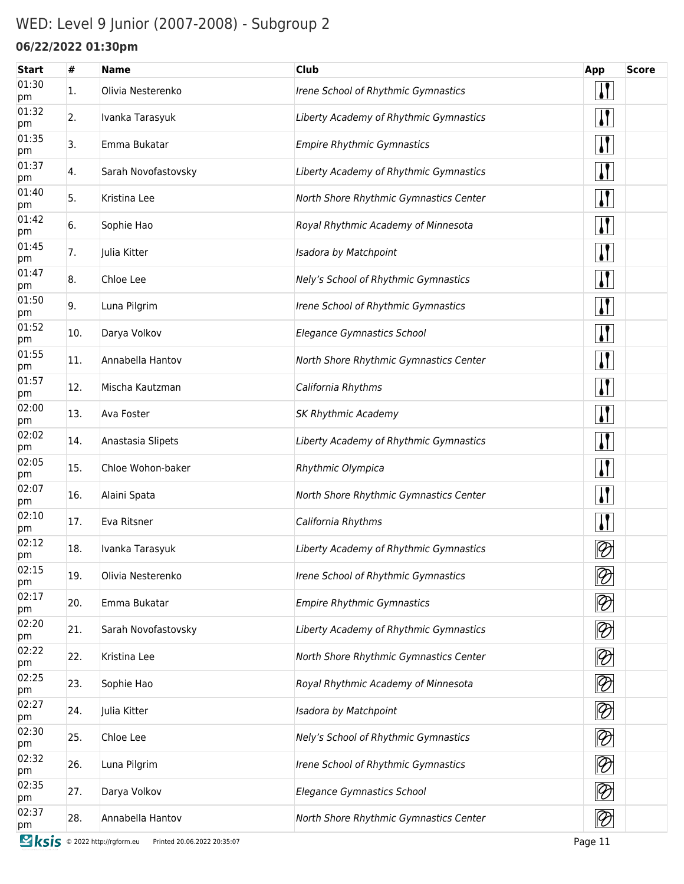## WED: Level 9 Junior (2007-2008) - Subgroup 2

### **06/22/2022 01:30pm**

| <b>Start</b> | #   | <b>Name</b>                                            | <b>Club</b>                            | App                         | <b>Score</b> |
|--------------|-----|--------------------------------------------------------|----------------------------------------|-----------------------------|--------------|
| 01:30<br>pm  | 1.  | Olivia Nesterenko                                      | Irene School of Rhythmic Gymnastics    | $\mathbf{H}$                |              |
| 01:32<br>pm  | 2.  | Ivanka Tarasyuk                                        | Liberty Academy of Rhythmic Gymnastics | $\mathbf{H}$                |              |
| 01:35<br>pm  | 3.  | Emma Bukatar                                           | <b>Empire Rhythmic Gymnastics</b>      | $\mathbf{I}$                |              |
| 01:37<br>pm  | 4.  | Sarah Novofastovsky                                    | Liberty Academy of Rhythmic Gymnastics | $\mathbf{H}$                |              |
| 01:40<br>pm  | 5.  | Kristina Lee                                           | North Shore Rhythmic Gymnastics Center | $\mathbf{H}$                |              |
| 01:42<br>pm  | 6.  | Sophie Hao                                             | Royal Rhythmic Academy of Minnesota    | $\mathbf{H}$                |              |
| 01:45<br>pm  | 7.  | Julia Kitter                                           | Isadora by Matchpoint                  | $\mathbf{H}$                |              |
| 01:47<br>pm  | 8.  | Chloe Lee                                              | Nely's School of Rhythmic Gymnastics   | $\mathbf{H}$                |              |
| 01:50<br>pm  | 9.  | Luna Pilgrim                                           | Irene School of Rhythmic Gymnastics    | $\mathbf{H}$                |              |
| 01:52<br>pm  | 10. | Darya Volkov                                           | Elegance Gymnastics School             | $\mathbf{H}$                |              |
| 01:55<br>pm  | 11. | Annabella Hantov                                       | North Shore Rhythmic Gymnastics Center | $\mathbf{H}$                |              |
| 01:57<br>pm  | 12. | Mischa Kautzman                                        | California Rhythms                     | $\mathbf{H}$                |              |
| 02:00<br>pm  | 13. | Ava Foster                                             | <b>SK Rhythmic Academy</b>             | $\mathbf{H}$                |              |
| 02:02<br>pm  | 14. | Anastasia Slipets                                      | Liberty Academy of Rhythmic Gymnastics | $\mathbf{H}$                |              |
| 02:05<br>pm  | 15. | Chloe Wohon-baker                                      | Rhythmic Olympica                      | $\mathbf{H}$                |              |
| 02:07<br>pm  | 16. | Alaini Spata                                           | North Shore Rhythmic Gymnastics Center | $\mathbf{H}$                |              |
| 02:10<br>pm  | 17. | Eva Ritsner                                            | California Rhythms                     | $\mathbf{H}$                |              |
| 02:12<br>pm  | 18. | Ivanka Tarasyuk                                        | Liberty Academy of Rhythmic Gymnastics | $\lvert \mathcal{D} \rvert$ |              |
| 02:15<br>pm  | 19. | Olivia Nesterenko                                      | Irene School of Rhythmic Gymnastics    | $\bigotimes$                |              |
| 02:17<br>pm  | 20. | Emma Bukatar                                           | <b>Empire Rhythmic Gymnastics</b>      | $ \mathcal{D} $             |              |
| 02:20<br>pm  | 21. | Sarah Novofastovsky                                    | Liberty Academy of Rhythmic Gymnastics | $\bigotimes$                |              |
| 02:22<br>pm  | 22. | Kristina Lee                                           | North Shore Rhythmic Gymnastics Center | $\bigotimes$                |              |
| 02:25<br>pm  | 23. | Sophie Hao                                             | Royal Rhythmic Academy of Minnesota    | $\bigotimes$                |              |
| 02:27<br>pm  | 24. | Julia Kitter                                           | Isadora by Matchpoint                  | $\bigotimes$                |              |
| 02:30<br>pm  | 25. | Chloe Lee                                              | Nely's School of Rhythmic Gymnastics   | $\lvert \mathcal{D} \rvert$ |              |
| 02:32<br>pm  | 26. | Luna Pilgrim                                           | Irene School of Rhythmic Gymnastics    | $\lvert \mathcal{D} \rvert$ |              |
| 02:35<br>pm  | 27. | Darya Volkov                                           | <b>Elegance Gymnastics School</b>      | $ \mathcal{D} $             |              |
| 02:37<br>pm  | 28. | Annabella Hantov                                       | North Shore Rhythmic Gymnastics Center | $\otimes$                   |              |
| <b>图ksis</b> |     | © 2022 http://rgform.eu<br>Printed 20.06.2022 20:35:07 |                                        | Page 11                     |              |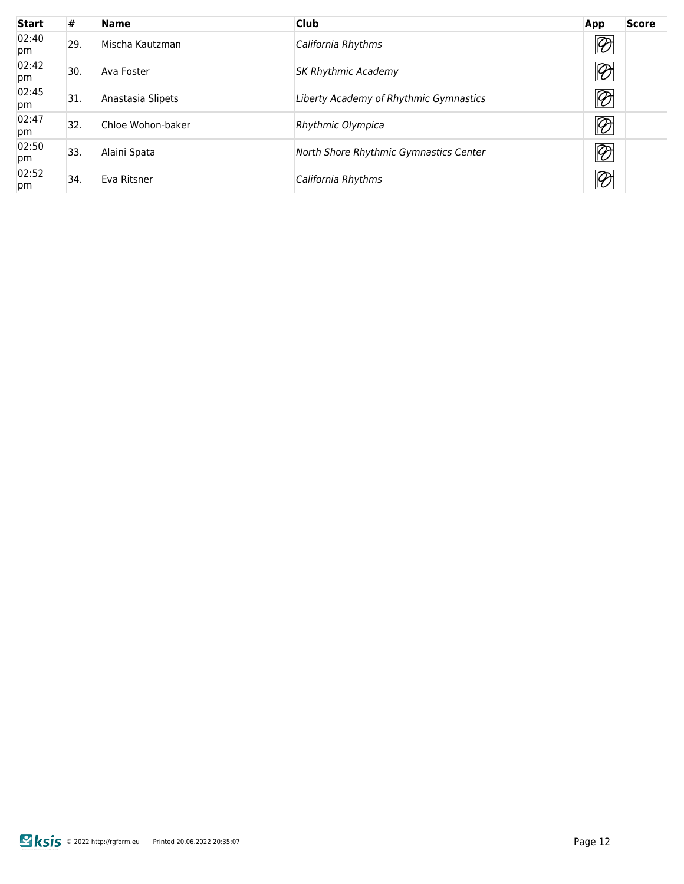| <b>Start</b> | #   | <b>Name</b>       | <b>Club</b>                            | <b>Score</b><br>App              |  |
|--------------|-----|-------------------|----------------------------------------|----------------------------------|--|
| 02:40<br>pm  | 29. | Mischa Kautzman   | California Rhythms                     | $\lbrack \!\! \vartheta \rbrack$ |  |
| 02:42<br>pm  | 30  | Ava Foster        | <b>SK Rhythmic Academy</b>             | $\overline{\mathscr{D}}$         |  |
| 02:45<br>pm  | 31. | Anastasia Slipets | Liberty Academy of Rhythmic Gymnastics | $\overline{\mathscr{D}}$         |  |
| 02:47<br>pm  | 32. | Chloe Wohon-baker | Rhythmic Olympica                      | $\overline{\mathfrak{D}}$        |  |
| 02:50<br>pm  | 33. | Alaini Spata      | North Shore Rhythmic Gymnastics Center | $\overline{\mathscr{D}}$         |  |
| 02:52<br>pm  | 34. | Eva Ritsner       | California Rhythms                     | $\overline{\mathscr{D}}$         |  |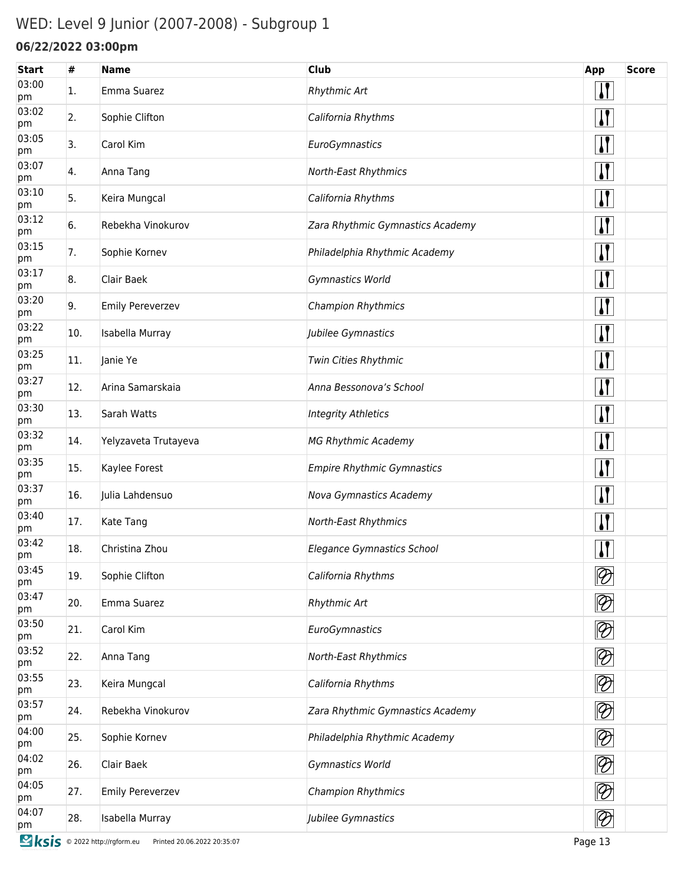## WED: Level 9 Junior (2007-2008) - Subgroup 1

### **06/22/2022 03:00pm**

| <b>Start</b> | #   | <b>Name</b>          | <b>Club</b>                       | App                      | <b>Score</b> |
|--------------|-----|----------------------|-----------------------------------|--------------------------|--------------|
| 03:00<br>pm  | 1.  | Emma Suarez          | <b>Rhythmic Art</b>               | $\mathbf{I}$             |              |
| 03:02<br>pm  | 2.  | Sophie Clifton       | California Rhythms                | $\prod$                  |              |
| 03:05<br>pm  | 3.  | Carol Kim            | EuroGymnastics                    | $\sqrt{1}$               |              |
| 03:07<br>pm  | 4.  | Anna Tang            | North-East Rhythmics              | $\sqrt{1}$               |              |
| 03:10<br>pm  | 5.  | Keira Mungcal        | California Rhythms                | $\mathbf{H}$             |              |
| 03:12<br>pm  | 6.  | Rebekha Vinokurov    | Zara Rhythmic Gymnastics Academy  | $\sqrt{1}$               |              |
| 03:15<br>pm  | 7.  | Sophie Kornev        | Philadelphia Rhythmic Academy     | $\mathbf{H}$             |              |
| 03:17<br>pm  | 8.  | Clair Baek           | Gymnastics World                  | $\sqrt{1}$               |              |
| 03:20<br>pm  | 9.  | Emily Pereverzev     | <b>Champion Rhythmics</b>         | $\mathbf{H}$             |              |
| 03:22<br>pm  | 10. | Isabella Murray      | Jubilee Gymnastics                | $\mathbf{H}$             |              |
| 03:25<br>pm  | 11. | Janie Ye             | Twin Cities Rhythmic              | $\mathbf{H}$             |              |
| 03:27<br>pm  | 12. | Arina Samarskaia     | Anna Bessonova's School           | $\sqrt{1}$               |              |
| 03:30<br>pm  | 13. | Sarah Watts          | <b>Integrity Athletics</b>        | $\mathbf{H}$             |              |
| 03:32<br>pm  | 14. | Yelyzaveta Trutayeva | <b>MG Rhythmic Academy</b>        | $\mathbf{H}$             |              |
| 03:35<br>pm  | 15. | Kaylee Forest        | <b>Empire Rhythmic Gymnastics</b> | $\mathbf{H}$             |              |
| 03:37<br>pm  | 16. | Julia Lahdensuo      | Nova Gymnastics Academy           | $\mathbf{H}$             |              |
| 03:40<br>pm  | 17. | Kate Tang            | North-East Rhythmics              | $\mathbf{H}$             |              |
| 03:42<br>pm  | 18. | Christina Zhou       | Elegance Gymnastics School        | $\mathbf{I}$             |              |
| 03:45<br>pm  | 19. | Sophie Clifton       | California Rhythms                | $\bigotimes$             |              |
| 03:47<br>pm  | 20. | Emma Suarez          | <b>Rhythmic Art</b>               | $\overline{\mathscr{D}}$ |              |
| 03:50<br>pm  | 21. | Carol Kim            | EuroGymnastics                    | $\overline{\mathscr{D}}$ |              |
| 03:52<br>pm  | 22. | Anna Tang            | North-East Rhythmics              | $\overline{\mathscr{D}}$ |              |
| 03:55<br>pm  | 23. | Keira Mungcal        | California Rhythms                | $\overline{\mathscr{D}}$ |              |
| 03:57<br>pm  | 24. | Rebekha Vinokurov    | Zara Rhythmic Gymnastics Academy  | $\overline{\mathscr{D}}$ |              |
| 04:00<br>pm  | 25. | Sophie Kornev        | Philadelphia Rhythmic Academy     | $\overline{\mathscr{D}}$ |              |
| 04:02<br>pm  | 26. | Clair Baek           | Gymnastics World                  | $\overline{\mathscr{D}}$ |              |
| 04:05<br>pm  | 27. | Emily Pereverzev     | Champion Rhythmics                | $\overline{\mathscr{D}}$ |              |
| 04:07<br>pm  | 28. | Isabella Murray      | Jubilee Gymnastics                | $\overline{\mathscr{D}}$ |              |
|              |     |                      |                                   |                          |              |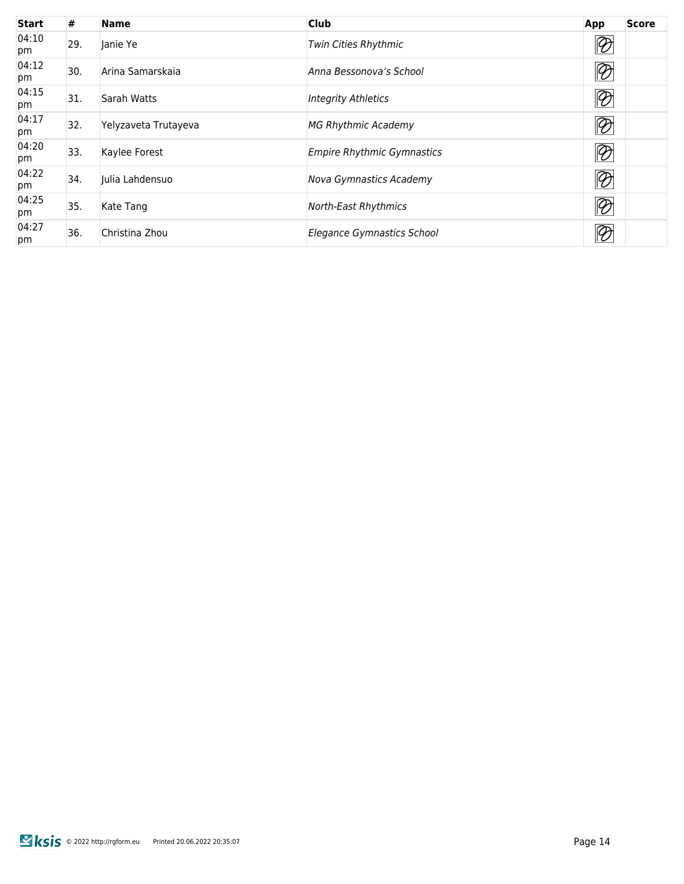| <b>Start</b> | #   | <b>Name</b>          | <b>Club</b>                       | App                       | <b>Score</b> |
|--------------|-----|----------------------|-----------------------------------|---------------------------|--------------|
| 04:10<br>pm  | 29. | Janie Ye             | Twin Cities Rhythmic              | $\otimes$                 |              |
| 04:12<br>pm  | 30. | Arina Samarskaja     | Anna Bessonova's School           | $\otimes$                 |              |
| 04:15<br>pm  | 31. | Sarah Watts          | <b>Integrity Athletics</b>        | $\overline{\bigotimes}$   |              |
| 04:17<br>pm  | 32. | Yelyzaveta Trutayeva | MG Rhythmic Academy               | $\overline{\mathfrak{D}}$ |              |
| 04:20<br>pm  | 33. | Kaylee Forest        | <b>Empire Rhythmic Gymnastics</b> | $\overline{\mathscr{D}}$  |              |
| 04:22<br>pm  | 34. | Julia Lahdensuo      | Nova Gymnastics Academy           | $\overline{\mathscr{D}}$  |              |
| 04:25<br>pm  | 35. | Kate Tang            | <b>North-East Rhythmics</b>       | $\bigotimes$              |              |
| 04:27<br>pm  | 36. | Christina Zhou       | Elegance Gymnastics School        | $\oslash$                 |              |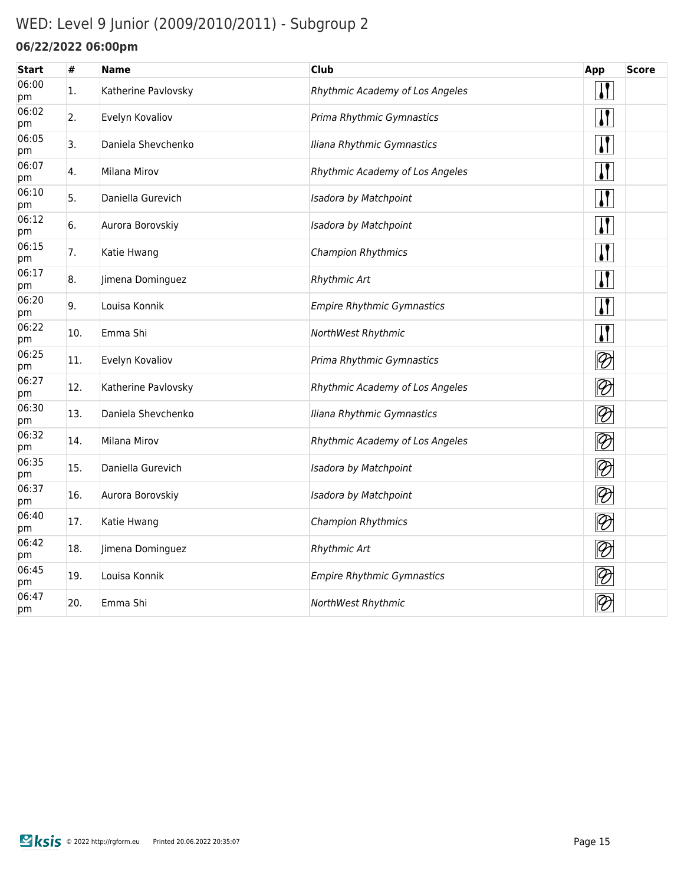## WED: Level 9 Junior (2009/2010/2011) - Subgroup 2

### **06/22/2022 06:00pm**

| #   | <b>Name</b>         | <b>Club</b>                       | App                         | <b>Score</b> |
|-----|---------------------|-----------------------------------|-----------------------------|--------------|
| 1.  | Katherine Pavlovsky | Rhythmic Academy of Los Angeles   | $\mathbf{H}$                |              |
| 2.  | Evelyn Kovaliov     | Prima Rhythmic Gymnastics         | $\mathbf{H}$                |              |
| 3.  | Daniela Shevchenko  | Iliana Rhythmic Gymnastics        | $\sqrt{1}$                  |              |
| 4.  | Milana Mirov        | Rhythmic Academy of Los Angeles   | $\sqrt{1}$                  |              |
| 5.  | Daniella Gurevich   | Isadora by Matchpoint             | $\sqrt{\ }$                 |              |
| 6.  | Aurora Borovskiy    | Isadora by Matchpoint             | $\sqrt{\ }$                 |              |
| 7.  | Katie Hwang         | Champion Rhythmics                | <u>  </u>                   |              |
| 8.  | Jimena Dominguez    | <b>Rhythmic Art</b>               | $\mathbf{r}$                |              |
| 9.  | Louisa Konnik       | <b>Empire Rhythmic Gymnastics</b> | $\mathbf{H}$                |              |
| 10. | Emma Shi            | NorthWest Rhythmic                | $\sqrt{\ }$                 |              |
| 11. | Evelyn Kovaliov     | Prima Rhythmic Gymnastics         | $\overline{\mathscr{D}}$    |              |
| 12. | Katherine Pavlovsky | Rhythmic Academy of Los Angeles   | $\bigotimes$                |              |
| 13. | Daniela Shevchenko  | Iliana Rhythmic Gymnastics        | $\bigotimes$                |              |
| 14. | Milana Mirov        | Rhythmic Academy of Los Angeles   | $\overline{\mathscr{D}}$    |              |
| 15. | Daniella Gurevich   | Isadora by Matchpoint             | $\lvert \mathcal{D} \rvert$ |              |
| 16. | Aurora Borovskiy    | Isadora by Matchpoint             | $\overline{\bigotimes}$     |              |
| 17. | Katie Hwang         | Champion Rhythmics                | $\overline{\mathscr{D}}$    |              |
| 18. | Jimena Dominguez    | <b>Rhythmic Art</b>               | $\bigotimes$                |              |
| 19. | Louisa Konnik       | <b>Empire Rhythmic Gymnastics</b> | $\lvert \mathcal{D} \rvert$ |              |
| 20. | Emma Shi            | NorthWest Rhythmic                | $\varnothing$               |              |
|     |                     |                                   |                             |              |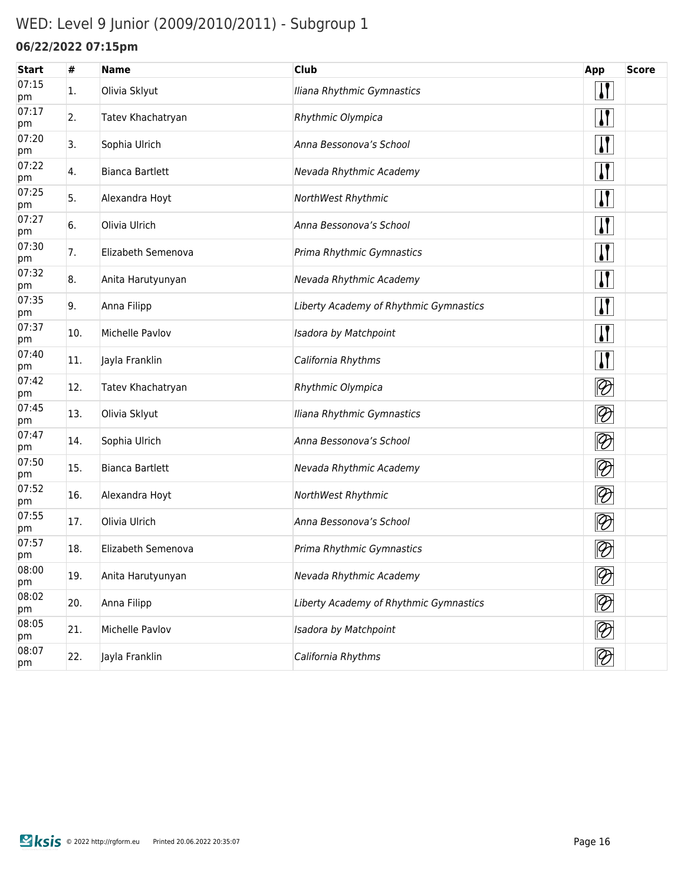## WED: Level 9 Junior (2009/2010/2011) - Subgroup 1

### **06/22/2022 07:15pm**

| <b>Start</b> | #   | <b>Name</b>            | <b>Club</b>                            | <b>App</b>                  | <b>Score</b> |
|--------------|-----|------------------------|----------------------------------------|-----------------------------|--------------|
| 07:15<br>pm  | 1.  | Olivia Sklyut          | Iliana Rhythmic Gymnastics             | $\mathbf{I}$                |              |
| 07:17<br>pm  | 2.  | Tatev Khachatryan      | Rhythmic Olympica                      | $\mathbf{I}$                |              |
| 07:20<br>pm  | 3.  | Sophia Ulrich          | Anna Bessonova's School                | <u>  </u>                   |              |
| 07:22<br>pm  | 4.  | <b>Bianca Bartlett</b> | Nevada Rhythmic Academy                | $\mathbf{I}$                |              |
| 07:25<br>pm  | 5.  | Alexandra Hoyt         | NorthWest Rhythmic                     | $\mathbf{I}$                |              |
| 07:27<br>pm  | 6.  | Olivia Ulrich          | Anna Bessonova's School                | $\mathbf{I}$                |              |
| 07:30<br>pm  | 7.  | Elizabeth Semenova     | Prima Rhythmic Gymnastics              | $\mathbf{I}$                |              |
| 07:32<br>pm  | 8.  | Anita Harutyunyan      | Nevada Rhythmic Academy                | $\mathbf{I}$                |              |
| 07:35<br>pm  | 9.  | Anna Filipp            | Liberty Academy of Rhythmic Gymnastics | $\mathbf{I}$                |              |
| 07:37<br>pm  | 10. | Michelle Pavlov        | Isadora by Matchpoint                  | $\mathbf{I}$                |              |
| 07:40<br>pm  | 11. | Jayla Franklin         | California Rhythms                     | $\mathbf{I}$                |              |
| 07:42<br>pm  | 12. | Tatev Khachatryan      | Rhythmic Olympica                      | $\lvert \mathcal{D} \rvert$ |              |
| 07:45<br>pm  | 13. | Olivia Sklyut          | Iliana Rhythmic Gymnastics             | $\otimes$                   |              |
| 07:47<br>pm  | 14. | Sophia Ulrich          | Anna Bessonova's School                | $\lvert \mathcal{D} \rvert$ |              |
| 07:50<br>pm  | 15. | <b>Bianca Bartlett</b> | Nevada Rhythmic Academy                | $\lvert \mathcal{D} \rvert$ |              |
| 07:52<br>pm  | 16. | Alexandra Hoyt         | NorthWest Rhythmic                     | $\lvert \mathcal{D} \rvert$ |              |
| 07:55<br>pm  | 17. | Olivia Ulrich          | Anna Bessonova's School                | $\lvert \mathcal{D} \rvert$ |              |
| 07:57<br>pm  | 18. | Elizabeth Semenova     | Prima Rhythmic Gymnastics              | $\otimes$                   |              |
| 08:00<br>pm  | 19. | Anita Harutyunyan      | Nevada Rhythmic Academy                | $\overline{\mathfrak{D}}$   |              |
| 08:02<br>pm  | 20. | Anna Filipp            | Liberty Academy of Rhythmic Gymnastics | $\lvert \mathcal{D} \rvert$ |              |
| 08:05<br>pm  | 21. | Michelle Pavlov        | Isadora by Matchpoint                  | $ \mathcal{D} $             |              |
| 08:07<br>pm  | 22. | Jayla Franklin         | California Rhythms                     | $\bigotimes$                |              |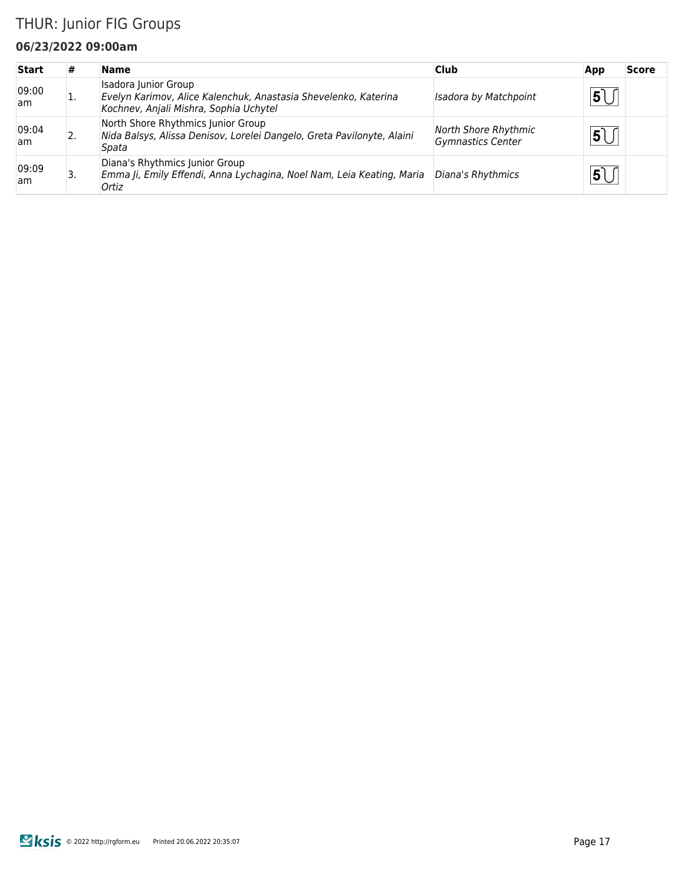### THUR: Junior FIG Groups

#### **06/23/2022 09:00am**

| <b>Start</b>  | #  | <b>Name</b>                                                                                                                       | <b>Club</b>                                      | App                     | Score |
|---------------|----|-----------------------------------------------------------------------------------------------------------------------------------|--------------------------------------------------|-------------------------|-------|
| 09:00<br>am   | ī. | Isadora Junior Group<br>Evelyn Karimov, Alice Kalenchuk, Anastasia Shevelenko, Katerina<br>Kochnev, Anjali Mishra, Sophia Uchytel | <b>Isadora by Matchpoint</b>                     | $\overline{\mathbf{5}}$ |       |
| 09:04<br>am   | 2. | North Shore Rhythmics Junior Group<br>Nida Balsys, Alissa Denisov, Lorelei Dangelo, Greta Pavilonyte, Alaini<br>Spata             | North Shore Rhythmic<br><b>Gymnastics Center</b> | 5                       |       |
| 09:09<br>lam. | 3. | Diana's Rhythmics Junior Group<br>Emma Ji, Emily Effendi, Anna Lychagina, Noel Nam, Leia Keating, Maria<br>Ortiz                  | Diana's Rhythmics                                | 5                       |       |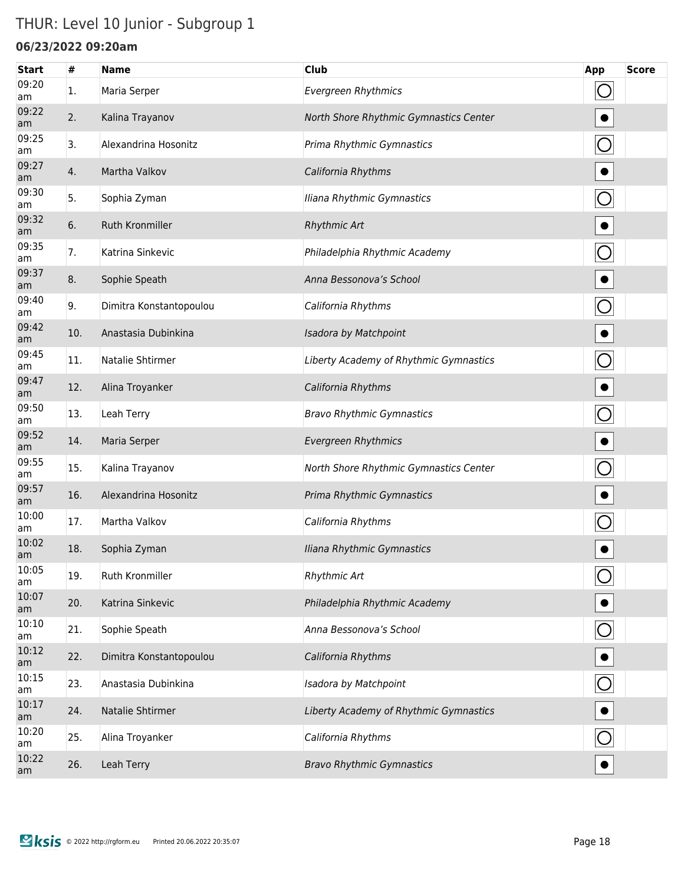## THUR: Level 10 Junior - Subgroup 1

#### **06/23/2022 09:20am**

| <b>Start</b> | #   | <b>Name</b>             | <b>Club</b>                            | App            | <b>Score</b> |
|--------------|-----|-------------------------|----------------------------------------|----------------|--------------|
| 09:20<br>am  | 1.  | Maria Serper            | <b>Evergreen Rhythmics</b>             | $\bigcirc$     |              |
| 09:22<br>am  | 2.  | Kalina Trayanov         | North Shore Rhythmic Gymnastics Center |                |              |
| 09:25<br>am  | 3.  | Alexandrina Hosonitz    | Prima Rhythmic Gymnastics              | $\bigcirc$     |              |
| 09:27<br>am  | 4.  | Martha Valkov           | California Rhythms                     |                |              |
| 09:30<br>am  | 5.  | Sophia Zyman            | Iliana Rhythmic Gymnastics             |                |              |
| 09:32<br>am  | 6.  | <b>Ruth Kronmiller</b>  | <b>Rhythmic Art</b>                    |                |              |
| 09:35<br>am  | 7.  | Katrina Sinkevic        | Philadelphia Rhythmic Academy          | $\bigcirc$     |              |
| 09:37<br>am  | 8.  | Sophie Speath           | Anna Bessonova's School                | $\bullet$      |              |
| 09:40<br>am  | 9.  | Dimitra Konstantopoulou | California Rhythms                     | $\bigcirc$     |              |
| 09:42<br>am  | 10. | Anastasia Dubinkina     | Isadora by Matchpoint                  | $\bullet$      |              |
| 09:45<br>am  | 11. | Natalie Shtirmer        | Liberty Academy of Rhythmic Gymnastics | O              |              |
| 09:47<br>am  | 12. | Alina Troyanker         | California Rhythms                     | $\bullet$      |              |
| 09:50<br>am  | 13. | Leah Terry              | <b>Bravo Rhythmic Gymnastics</b>       | $\bigcirc$     |              |
| 09:52<br>am  | 14. | Maria Serper            | <b>Evergreen Rhythmics</b>             | $\bullet$      |              |
| 09:55<br>am  | 15. | Kalina Trayanov         | North Shore Rhythmic Gymnastics Center | O              |              |
| 09:57<br>am  | 16. | Alexandrina Hosonitz    | Prima Rhythmic Gymnastics              | $\bullet$      |              |
| 10:00<br>am  | 17. | Martha Valkov           | California Rhythms                     |                |              |
| 10:02<br>am  | 18. | Sophia Zyman            | Iliana Rhythmic Gymnastics             |                |              |
| 10:05<br>am  | 19. | Ruth Kronmiller         | <b>Rhythmic Art</b>                    |                |              |
| 10:07<br>am  | 20. | Katrina Sinkevic        | Philadelphia Rhythmic Academy          |                |              |
| 10:10<br>am  | 21. | Sophie Speath           | Anna Bessonova's School                | $\bigcirc$     |              |
| 10:12<br>am  | 22. | Dimitra Konstantopoulou | California Rhythms                     |                |              |
| 10:15<br>am  | 23. | Anastasia Dubinkina     | Isadora by Matchpoint                  | $\overline{O}$ |              |
| 10:17<br>am  | 24. | Natalie Shtirmer        | Liberty Academy of Rhythmic Gymnastics |                |              |
| 10:20<br>am  | 25. | Alina Troyanker         | California Rhythms                     | $\bigcirc$     |              |
| 10:22<br>am  | 26. | Leah Terry              | <b>Bravo Rhythmic Gymnastics</b>       |                |              |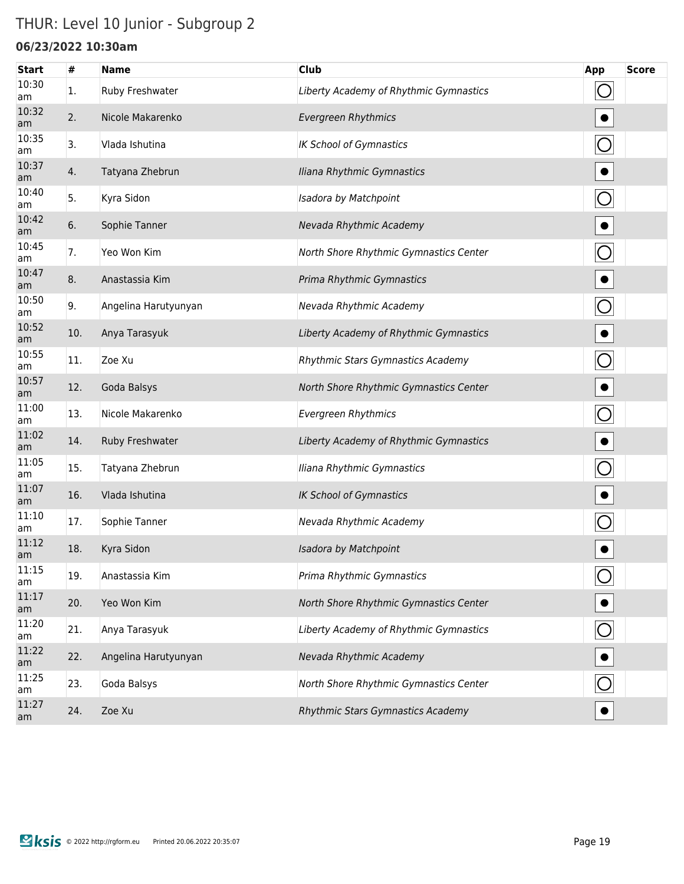## THUR: Level 10 Junior - Subgroup 2

### **06/23/2022 10:30am**

| <b>Start</b> | #   | <b>Name</b>          | <b>Club</b>                            | App        | <b>Score</b> |
|--------------|-----|----------------------|----------------------------------------|------------|--------------|
| 10:30<br>am  | 1.  | Ruby Freshwater      | Liberty Academy of Rhythmic Gymnastics | O          |              |
| 10:32<br>am  | 2.  | Nicole Makarenko     | <b>Evergreen Rhythmics</b>             |            |              |
| 10:35<br>am  | 3.  | Vlada Ishutina       | <b>IK School of Gymnastics</b>         | $\bigcirc$ |              |
| 10:37<br>am  | 4.  | Tatyana Zhebrun      | Iliana Rhythmic Gymnastics             | $\bullet$  |              |
| 10:40<br>am  | 5.  | Kyra Sidon           | Isadora by Matchpoint                  | $\bigcirc$ |              |
| 10:42<br>am  | 6.  | Sophie Tanner        | Nevada Rhythmic Academy                | $\bullet$  |              |
| 10:45<br>am  | 7.  | Yeo Won Kim          | North Shore Rhythmic Gymnastics Center | O          |              |
| 10:47<br>am  | 8.  | Anastassia Kim       | Prima Rhythmic Gymnastics              | $\bullet$  |              |
| 10:50<br>am  | 9.  | Angelina Harutyunyan | Nevada Rhythmic Academy                | $\bigcirc$ |              |
| 10:52<br>am  | 10. | Anya Tarasyuk        | Liberty Academy of Rhythmic Gymnastics | $\bullet$  |              |
| 10:55<br>am  | 11. | Zoe Xu               | Rhythmic Stars Gymnastics Academy      | O          |              |
| 10:57<br>am  | 12. | Goda Balsys          | North Shore Rhythmic Gymnastics Center |            |              |
| 11:00<br>am  | 13. | Nicole Makarenko     | <b>Evergreen Rhythmics</b>             | $\bigcirc$ |              |
| 11:02<br>am  | 14. | Ruby Freshwater      | Liberty Academy of Rhythmic Gymnastics |            |              |
| 11:05<br>am  | 15. | Tatyana Zhebrun      | Iliana Rhythmic Gymnastics             |            |              |
| 11:07<br>am  | 16. | Vlada Ishutina       | <b>IK School of Gymnastics</b>         |            |              |
| 11:10<br>am  | 17. | Sophie Tanner        | Nevada Rhythmic Academy                |            |              |
| 11:12<br>am  | 18. | Kyra Sidon           | Isadora by Matchpoint                  |            |              |
| 11:15<br>am  | 19. | Anastassia Kim       | Prima Rhythmic Gymnastics              |            |              |
| 11:17<br>am  | 20. | Yeo Won Kim          | North Shore Rhythmic Gymnastics Center |            |              |
| 11:20<br>am  | 21. | Anya Tarasyuk        | Liberty Academy of Rhythmic Gymnastics | $\bigcirc$ |              |
| 11:22<br>am  | 22. | Angelina Harutyunyan | Nevada Rhythmic Academy                |            |              |
| 11:25<br>am  | 23. | Goda Balsys          | North Shore Rhythmic Gymnastics Center |            |              |
| 11:27<br>am  | 24. | Zoe Xu               | Rhythmic Stars Gymnastics Academy      |            |              |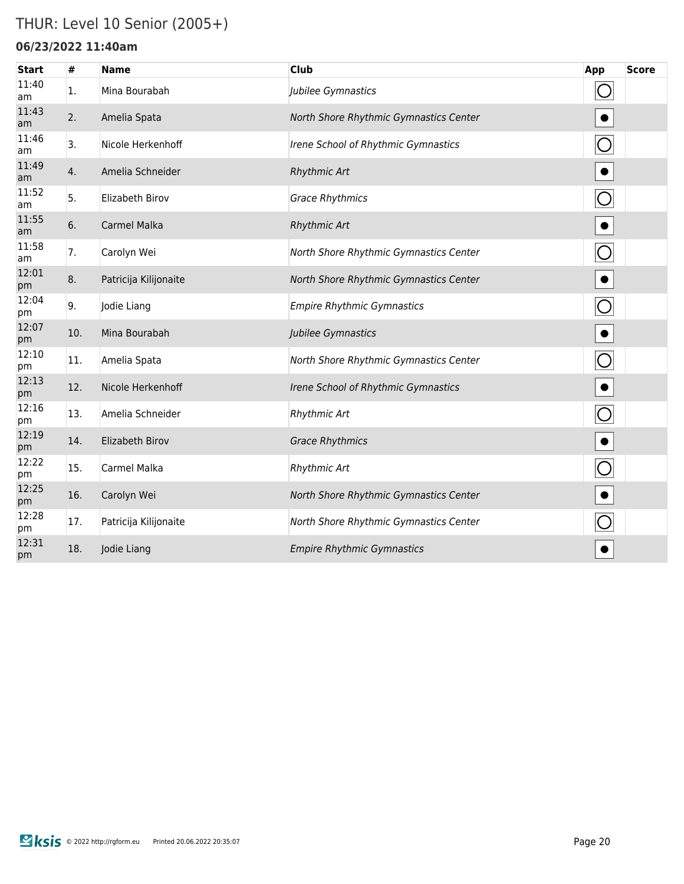### THUR: Level 10 Senior (2005+)

#### **06/23/2022 11:40am**

| <b>Start</b> | $\#$ | <b>Name</b>           | <b>Club</b>                            | App                   | <b>Score</b> |
|--------------|------|-----------------------|----------------------------------------|-----------------------|--------------|
| 11:40<br>am  | 1.   | Mina Bourabah         | Jubilee Gymnastics                     | $\bigcirc$            |              |
| 11:43<br>am  | 2.   | Amelia Spata          | North Shore Rhythmic Gymnastics Center |                       |              |
| 11:46<br>am  | 3.   | Nicole Herkenhoff     | Irene School of Rhythmic Gymnastics    | $\bigcirc$            |              |
| 11:49<br>am  | 4.   | Amelia Schneider      | <b>Rhythmic Art</b>                    | $\bullet$             |              |
| 11:52<br>am  | 5.   | Elizabeth Birov       | <b>Grace Rhythmics</b>                 | $\overline{O}$        |              |
| 11:55<br>am  | 6.   | <b>Carmel Malka</b>   | <b>Rhythmic Art</b>                    | $\bullet$             |              |
| 11:58<br>am  | 7.   | Carolyn Wei           | North Shore Rhythmic Gymnastics Center | $\overline{\bigcirc}$ |              |
| 12:01<br>pm  | 8.   | Patricija Kilijonaite | North Shore Rhythmic Gymnastics Center | $\bullet$             |              |
| 12:04<br>pm  | 9.   | Jodie Liang           | <b>Empire Rhythmic Gymnastics</b>      | $\bigcirc$            |              |
| 12:07<br>pm  | 10.  | Mina Bourabah         | Jubilee Gymnastics                     | $\bullet$             |              |
| 12:10<br>pm  | 11.  | Amelia Spata          | North Shore Rhythmic Gymnastics Center | $\bigcirc$            |              |
| 12:13<br>pm  | 12.  | Nicole Herkenhoff     | Irene School of Rhythmic Gymnastics    | $\bullet$             |              |
| 12:16<br>pm  | 13.  | Amelia Schneider      | Rhythmic Art                           | $\bigcirc$            |              |
| 12:19<br>pm  | 14.  | Elizabeth Birov       | <b>Grace Rhythmics</b>                 |                       |              |
| 12:22<br>pm  | 15.  | Carmel Malka          | Rhythmic Art                           |                       |              |
| 12:25<br>pm  | 16.  | Carolyn Wei           | North Shore Rhythmic Gymnastics Center | $\bullet$             |              |
| 12:28<br>pm  | 17.  | Patricija Kilijonaite | North Shore Rhythmic Gymnastics Center |                       |              |
| 12:31<br>pm  | 18.  | Jodie Liang           | <b>Empire Rhythmic Gymnastics</b>      |                       |              |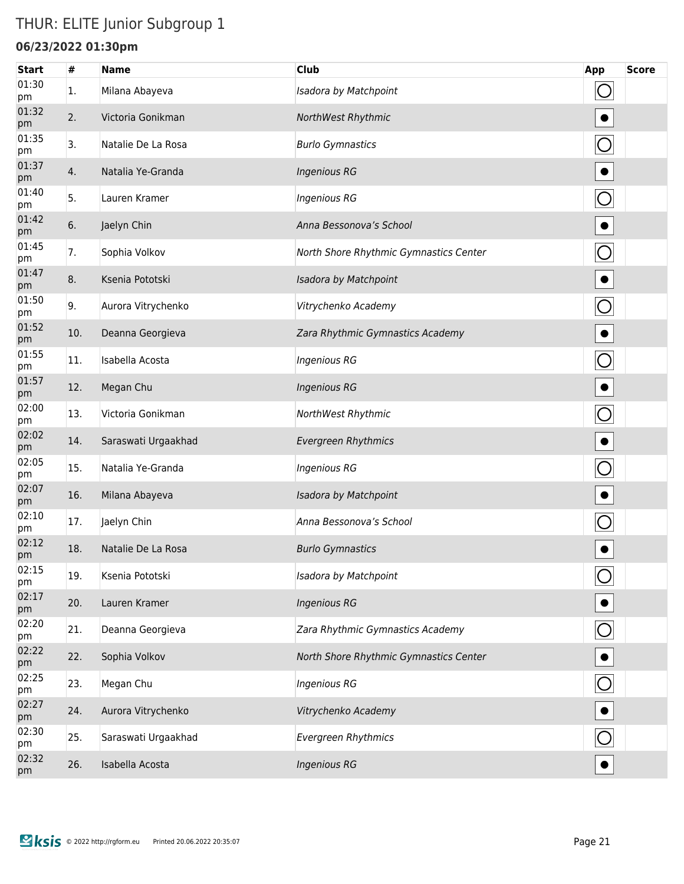### THUR: ELITE Junior Subgroup 1

#### **06/23/2022 01:30pm**

| <b>Start</b> | #   | <b>Name</b>         | <b>Club</b>                            | <b>App</b>     | <b>Score</b> |
|--------------|-----|---------------------|----------------------------------------|----------------|--------------|
| 01:30<br>pm  | 1.  | Milana Abayeva      | Isadora by Matchpoint                  | $\bigcirc$     |              |
| 01:32<br>pm  | 2.  | Victoria Gonikman   | NorthWest Rhythmic                     |                |              |
| 01:35<br>pm  | 3.  | Natalie De La Rosa  | <b>Burlo Gymnastics</b>                | $\bigcirc$     |              |
| 01:37<br>pm  | 4.  | Natalia Ye-Granda   | <b>Ingenious RG</b>                    | $\bullet$      |              |
| 01:40<br>pm  | 5.  | Lauren Kramer       | <b>Ingenious RG</b>                    | $\bigcirc$     |              |
| 01:42<br>pm  | 6.  | Jaelyn Chin         | Anna Bessonova's School                | $\bullet$      |              |
| 01:45<br>pm  | 7.  | Sophia Volkov       | North Shore Rhythmic Gymnastics Center | $\bigcirc$     |              |
| 01:47<br>pm  | 8.  | Ksenia Pototski     | Isadora by Matchpoint                  | $\bullet$      |              |
| 01:50<br>pm  | 9.  | Aurora Vitrychenko  | Vitrychenko Academy                    | $\bigcirc$     |              |
| 01:52<br>pm  | 10. | Deanna Georgieva    | Zara Rhythmic Gymnastics Academy       | $\bullet$      |              |
| 01:55<br>pm  | 11. | Isabella Acosta     | Ingenious RG                           | $\bigcirc$     |              |
| 01:57<br>pm  | 12. | Megan Chu           | <b>Ingenious RG</b>                    | $\bullet$      |              |
| 02:00<br>pm  | 13. | Victoria Gonikman   | NorthWest Rhythmic                     | $\bigcirc$     |              |
| 02:02<br>pm  | 14. | Saraswati Urgaakhad | <b>Evergreen Rhythmics</b>             | $\bullet$      |              |
| 02:05<br>pm  | 15. | Natalia Ye-Granda   | Ingenious RG                           | $\bigcirc$     |              |
| 02:07<br>pm  | 16. | Milana Abayeva      | Isadora by Matchpoint                  | $\bullet$      |              |
| 02:10<br>pm  | 17. | Jaelyn Chin         | Anna Bessonova's School                |                |              |
| 02:12<br>pm  | 18. | Natalie De La Rosa  | <b>Burlo Gymnastics</b>                |                |              |
| 02:15<br>pm  | 19. | Ksenia Pototski     | Isadora by Matchpoint                  |                |              |
| 02:17<br>pm  | 20. | Lauren Kramer       | <b>Ingenious RG</b>                    |                |              |
| 02:20<br>pm  | 21. | Deanna Georgieva    | Zara Rhythmic Gymnastics Academy       | $\bigcirc$     |              |
| 02:22<br>pm  | 22. | Sophia Volkov       | North Shore Rhythmic Gymnastics Center |                |              |
| 02:25<br>pm  | 23. | Megan Chu           | Ingenious RG                           | $\overline{O}$ |              |
| 02:27<br>pm  | 24. | Aurora Vitrychenko  | Vitrychenko Academy                    |                |              |
| 02:30<br>pm  | 25. | Saraswati Urgaakhad | <b>Evergreen Rhythmics</b>             | $\bigcirc$     |              |
| 02:32<br>pm  | 26. | Isabella Acosta     | <b>Ingenious RG</b>                    |                |              |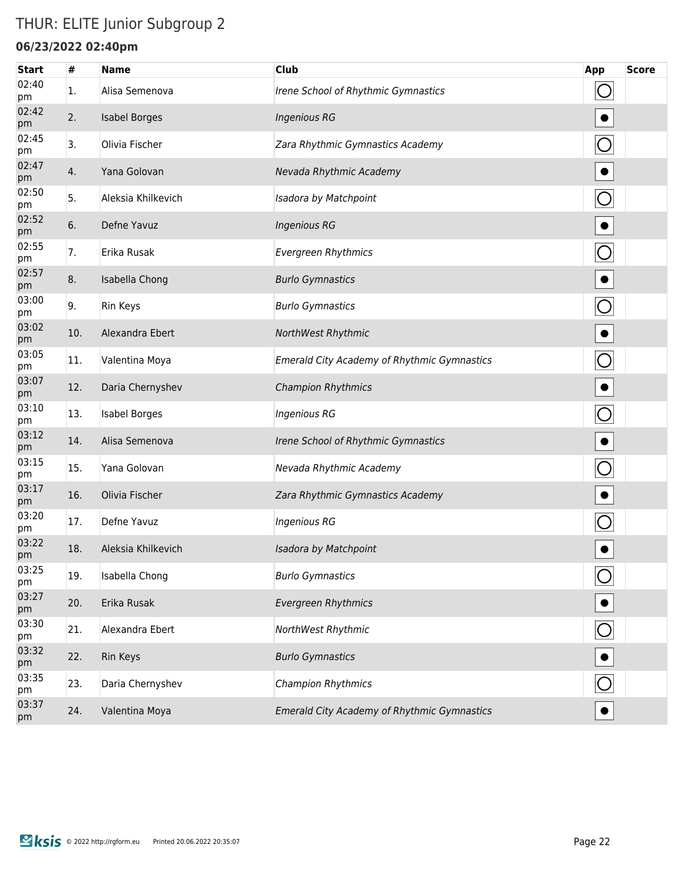### THUR: ELITE Junior Subgroup 2

#### **06/23/2022 02:40pm**

| <b>Start</b> | #   | <b>Name</b>          | <b>Club</b>                                        | App            | <b>Score</b> |
|--------------|-----|----------------------|----------------------------------------------------|----------------|--------------|
| 02:40<br>pm  | 1.  | Alisa Semenova       | Irene School of Rhythmic Gymnastics                |                |              |
| 02:42<br>pm  | 2.  | <b>Isabel Borges</b> | <b>Ingenious RG</b>                                |                |              |
| 02:45<br>pm  | 3.  | Olivia Fischer       | Zara Rhythmic Gymnastics Academy                   | $\bigcirc$     |              |
| 02:47<br>pm  | 4.  | Yana Golovan         | Nevada Rhythmic Academy                            |                |              |
| 02:50<br>pm  | 5.  | Aleksia Khilkevich   | Isadora by Matchpoint                              |                |              |
| 02:52<br>pm  | 6.  | Defne Yavuz          | <b>Ingenious RG</b>                                |                |              |
| 02:55<br>pm  | 7.  | Erika Rusak          | <b>Evergreen Rhythmics</b>                         | $\bigcirc$     |              |
| 02:57<br>pm  | 8.  | Isabella Chong       | <b>Burlo Gymnastics</b>                            |                |              |
| 03:00<br>pm  | 9.  | Rin Keys             | <b>Burlo Gymnastics</b>                            | $\bigcirc$     |              |
| 03:02<br>pm  | 10. | Alexandra Ebert      | NorthWest Rhythmic                                 | $\bullet$      |              |
| 03:05<br>pm  | 11. | Valentina Moya       | <b>Emerald City Academy of Rhythmic Gymnastics</b> | $\bigcirc$     |              |
| 03:07<br>pm  | 12. | Daria Chernyshev     | <b>Champion Rhythmics</b>                          | $\bullet$      |              |
| 03:10<br>pm  | 13. | <b>Isabel Borges</b> | <b>Ingenious RG</b>                                | O              |              |
| 03:12<br>pm  | 14. | Alisa Semenova       | Irene School of Rhythmic Gymnastics                | $\bullet$      |              |
| 03:15<br>pm  | 15. | Yana Golovan         | Nevada Rhythmic Academy                            | O              |              |
| 03:17<br>pm  | 16. | Olivia Fischer       | Zara Rhythmic Gymnastics Academy                   | $\bullet$      |              |
| 03:20<br>pm  | 17. | Defne Yavuz          | <b>Ingenious RG</b>                                |                |              |
| 03:22<br>pm  | 18. | Aleksia Khilkevich   | Isadora by Matchpoint                              |                |              |
| 03:25<br>pm  | 19. | Isabella Chong       | <b>Burlo Gymnastics</b>                            | $\bigcirc$     |              |
| 03:27<br>pm  | 20. | Erika Rusak          | <b>Evergreen Rhythmics</b>                         |                |              |
| 03:30<br>pm  | 21. | Alexandra Ebert      | NorthWest Rhythmic                                 | $\overline{O}$ |              |
| 03:32<br>pm  | 22. | Rin Keys             | <b>Burlo Gymnastics</b>                            |                |              |
| 03:35<br>pm  | 23. | Daria Chernyshev     | <b>Champion Rhythmics</b>                          | $\overline{O}$ |              |
| 03:37<br>pm  | 24. | Valentina Moya       | Emerald City Academy of Rhythmic Gymnastics        |                |              |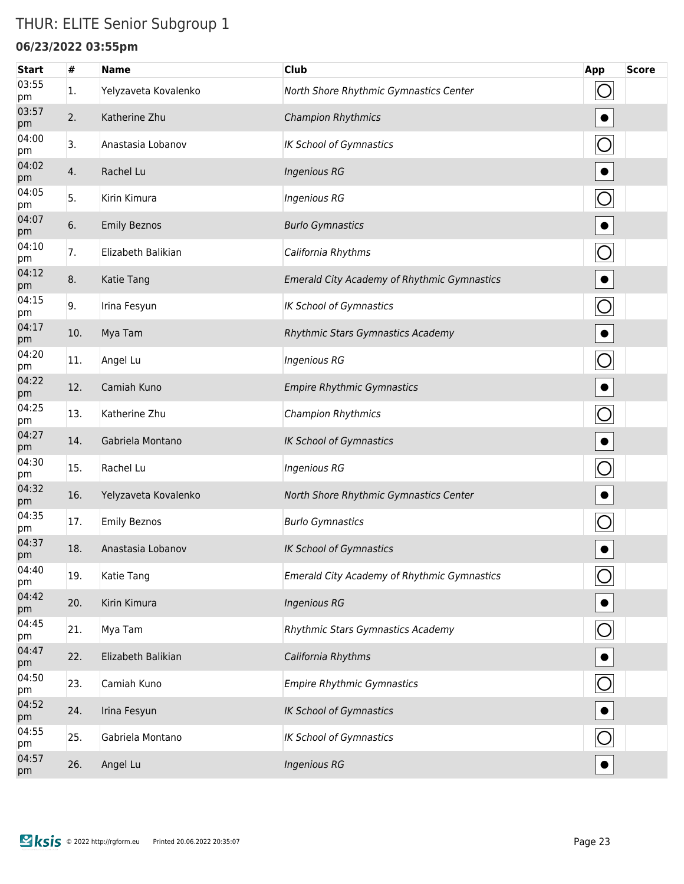### THUR: ELITE Senior Subgroup 1

#### **06/23/2022 03:55pm**

| <b>Start</b> | #   | <b>Name</b>          | <b>Club</b>                                        | App            | <b>Score</b> |
|--------------|-----|----------------------|----------------------------------------------------|----------------|--------------|
| 03:55<br>pm  | 1.  | Yelyzaveta Kovalenko | North Shore Rhythmic Gymnastics Center             | $\bigcirc$     |              |
| 03:57<br>pm  | 2.  | Katherine Zhu        | <b>Champion Rhythmics</b>                          |                |              |
| 04:00<br>pm  | 3.  | Anastasia Lobanov    | <b>IK School of Gymnastics</b>                     | $\bigcirc$     |              |
| 04:02<br>pm  | 4.  | Rachel Lu            | <b>Ingenious RG</b>                                |                |              |
| 04:05<br>pm  | 5.  | Kirin Kimura         | <b>Ingenious RG</b>                                |                |              |
| 04:07<br>pm  | 6.  | <b>Emily Beznos</b>  | <b>Burlo Gymnastics</b>                            |                |              |
| 04:10<br>pm  | 7.  | Elizabeth Balikian   | California Rhythms                                 | $\bigcirc$     |              |
| 04:12<br>pm  | 8.  | Katie Tang           | <b>Emerald City Academy of Rhythmic Gymnastics</b> | $\bullet$      |              |
| 04:15<br>pm  | 9.  | Irina Fesyun         | <b>IK School of Gymnastics</b>                     | $\bigcirc$     |              |
| 04:17<br>pm  | 10. | Mya Tam              | Rhythmic Stars Gymnastics Academy                  | $\bullet$      |              |
| 04:20<br>pm  | 11. | Angel Lu             | <b>Ingenious RG</b>                                | $\bigcirc$     |              |
| 04:22<br>pm  | 12. | Camiah Kuno          | <b>Empire Rhythmic Gymnastics</b>                  | $\bullet$      |              |
| 04:25<br>pm  | 13. | Katherine Zhu        | <b>Champion Rhythmics</b>                          | $\bigcirc$     |              |
| 04:27<br>pm  | 14. | Gabriela Montano     | <b>IK School of Gymnastics</b>                     | $\bullet$      |              |
| 04:30<br>pm  | 15. | Rachel Lu            | <b>Ingenious RG</b>                                | $\bigcirc$     |              |
| 04:32<br>pm  | 16. | Yelyzaveta Kovalenko | North Shore Rhythmic Gymnastics Center             | $\bullet$      |              |
| 04:35<br>pm  | 17. | <b>Emily Beznos</b>  | <b>Burlo Gymnastics</b>                            |                |              |
| 04:37<br>pm  | 18. | Anastasia Lobanov    | IK School of Gymnastics                            |                |              |
| 04:40<br>pm  | 19. | Katie Tang           | <b>Emerald City Academy of Rhythmic Gymnastics</b> |                |              |
| 04:42<br>pm  | 20. | Kirin Kimura         | <b>Ingenious RG</b>                                |                |              |
| 04:45<br>pm  | 21. | Mya Tam              | Rhythmic Stars Gymnastics Academy                  | $\bigcirc$     |              |
| 04:47<br>pm  | 22. | Elizabeth Balikian   | California Rhythms                                 |                |              |
| 04:50<br>pm  | 23. | Camiah Kuno          | <b>Empire Rhythmic Gymnastics</b>                  | $\overline{O}$ |              |
| 04:52<br>pm  | 24. | Irina Fesyun         | <b>IK School of Gymnastics</b>                     |                |              |
| 04:55<br>pm  | 25. | Gabriela Montano     | <b>IK School of Gymnastics</b>                     | $\circ$        |              |
| 04:57<br>pm  | 26. | Angel Lu             | <b>Ingenious RG</b>                                |                |              |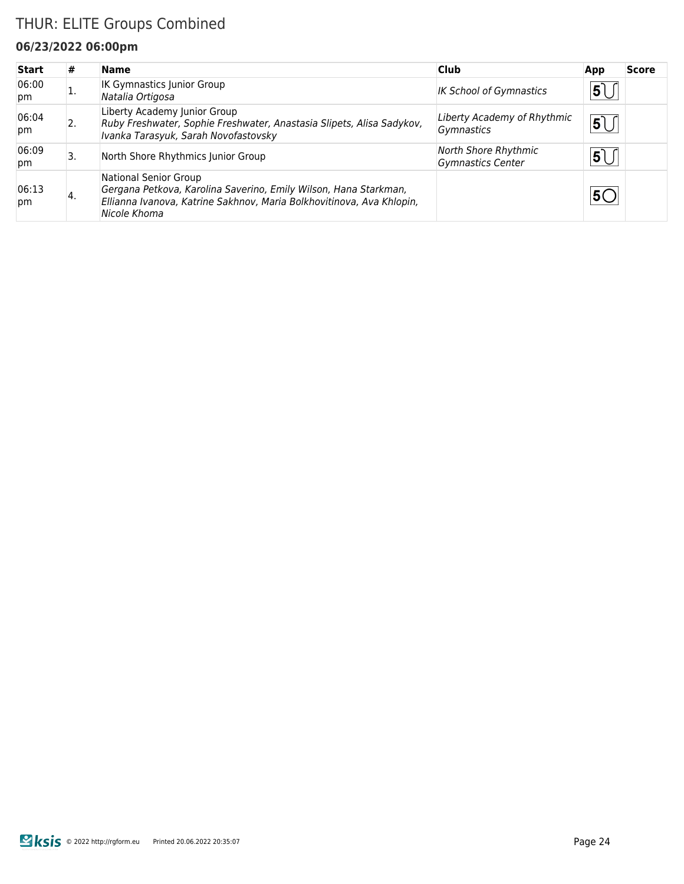### THUR: ELITE Groups Combined

#### **06/23/2022 06:00pm**

| <b>Start</b> | #  | <b>Name</b>                                                                                                                                                                        | <b>Club</b>                               | App             | <b>Score</b> |
|--------------|----|------------------------------------------------------------------------------------------------------------------------------------------------------------------------------------|-------------------------------------------|-----------------|--------------|
| 06:00<br>pm  |    | <b>IK Gymnastics Junior Group</b><br>Natalia Ortigosa                                                                                                                              | <b>IK School of Gymnastics</b>            | 5               |              |
| 06:04<br>pm  | 2. | Liberty Academy Junior Group<br>Ruby Freshwater, Sophie Freshwater, Anastasia Slipets, Alisa Sadykov,<br>Ivanka Tarasyuk, Sarah Novofastovsky                                      | Liberty Academy of Rhythmic<br>Gymnastics | 5               |              |
| 06:09<br>pm  | 3. | North Shore Rhythmics Junior Group                                                                                                                                                 | North Shore Rhythmic<br>Gymnastics Center | $5\overline{)}$ |              |
| 06:13<br>pm  | 4. | National Senior Group<br>Gergana Petkova, Karolina Saverino, Emily Wilson, Hana Starkman,<br>Ellianna Ivanova, Katrine Sakhnov, Maria Bolkhovitinova, Ava Khlopin,<br>Nicole Khoma |                                           |                 |              |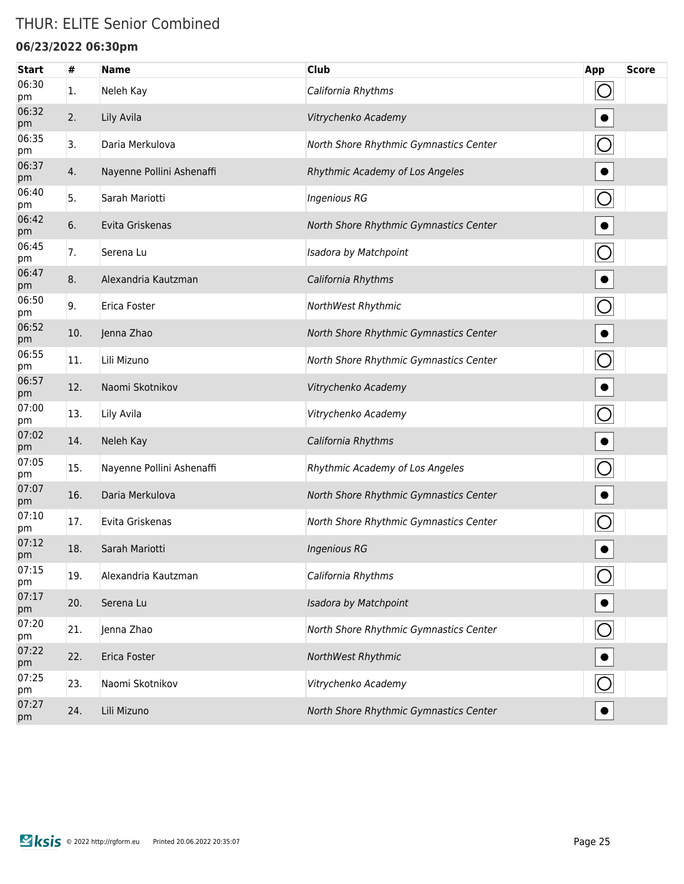### THUR: ELITE Senior Combined

#### **06/23/2022 06:30pm**

| <b>Start</b> | #   | <b>Name</b>               | <b>Club</b>                            | App            | <b>Score</b> |
|--------------|-----|---------------------------|----------------------------------------|----------------|--------------|
| 06:30<br>pm  | 1.  | Neleh Kay                 | California Rhythms                     |                |              |
| 06:32<br>pm  | 2.  | Lily Avila                | Vitrychenko Academy                    |                |              |
| 06:35<br>pm  | 3.  | Daria Merkulova           | North Shore Rhythmic Gymnastics Center |                |              |
| 06:37<br>pm  | 4.  | Nayenne Pollini Ashenaffi | Rhythmic Academy of Los Angeles        |                |              |
| 06:40<br>pm  | 5.  | Sarah Mariotti            | <b>Ingenious RG</b>                    | $\bigcirc$     |              |
| 06:42<br>pm  | 6.  | Evita Griskenas           | North Shore Rhythmic Gymnastics Center |                |              |
| 06:45<br>pm  | 7.  | Serena Lu                 | Isadora by Matchpoint                  | O              |              |
| 06:47<br>pm  | 8.  | Alexandria Kautzman       | California Rhythms                     |                |              |
| 06:50<br>pm  | 9.  | Erica Foster              | NorthWest Rhythmic                     | $\bigcirc$     |              |
| 06:52<br>pm  | 10. | Jenna Zhao                | North Shore Rhythmic Gymnastics Center |                |              |
| 06:55<br>pm  | 11. | Lili Mizuno               | North Shore Rhythmic Gymnastics Center | O              |              |
| 06:57<br>pm  | 12. | Naomi Skotnikov           | Vitrychenko Academy                    |                |              |
| 07:00<br>pm  | 13. | Lily Avila                | Vitrychenko Academy                    | O              |              |
| 07:02<br>pm  | 14. | Neleh Kay                 | California Rhythms                     |                |              |
| 07:05<br>pm  | 15. | Nayenne Pollini Ashenaffi | Rhythmic Academy of Los Angeles        |                |              |
| 07:07<br>pm  | 16. | Daria Merkulova           | North Shore Rhythmic Gymnastics Center |                |              |
| 07:10<br>pm  | 17. | Evita Griskenas           | North Shore Rhythmic Gymnastics Center |                |              |
| 07:12<br>pm  | 18. | Sarah Mariotti            | <b>Ingenious RG</b>                    |                |              |
| 07:15<br>pm  | 19. | Alexandria Kautzman       | California Rhythms                     |                |              |
| 07:17<br>pm  | 20. | Serena Lu                 | Isadora by Matchpoint                  |                |              |
| 07:20<br>pm  | 21. | Jenna Zhao                | North Shore Rhythmic Gymnastics Center | $\overline{O}$ |              |
| 07:22<br>pm  | 22. | Erica Foster              | NorthWest Rhythmic                     |                |              |
| 07:25<br>pm  | 23. | Naomi Skotnikov           | Vitrychenko Academy                    |                |              |
| 07:27<br>pm  | 24. | Lili Mizuno               | North Shore Rhythmic Gymnastics Center |                |              |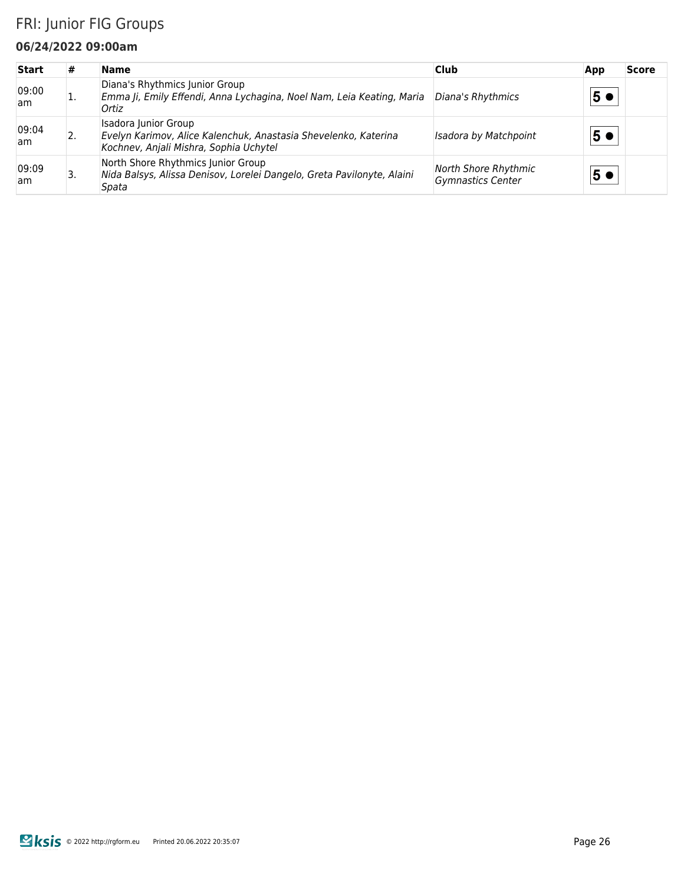### FRI: Junior FIG Groups

#### **06/24/2022 09:00am**

| <b>Start</b> | #  | <b>Name</b>                                                                                                                       | <b>Club</b>                                      | App | <b>Score</b> |
|--------------|----|-----------------------------------------------------------------------------------------------------------------------------------|--------------------------------------------------|-----|--------------|
| 09:00<br>am  |    | Diana's Rhythmics Junior Group<br>Emma Ji, Emily Effendi, Anna Lychagina, Noel Nam, Leia Keating, Maria<br>Ortiz                  | Diana's Rhythmics                                | 5 € |              |
| 09:04<br>am. | 2. | Isadora Junior Group<br>Evelyn Karimov, Alice Kalenchuk, Anastasia Shevelenko, Katerina<br>Kochnev, Anjali Mishra, Sophia Uchytel | Isadora by Matchpoint                            | 5●  |              |
| 09:09<br>am  | 3. | North Shore Rhythmics Junior Group<br>Nida Balsys, Alissa Denisov, Lorelei Dangelo, Greta Pavilonyte, Alaini<br>Spata             | North Shore Rhythmic<br><b>Gymnastics Center</b> | 5€  |              |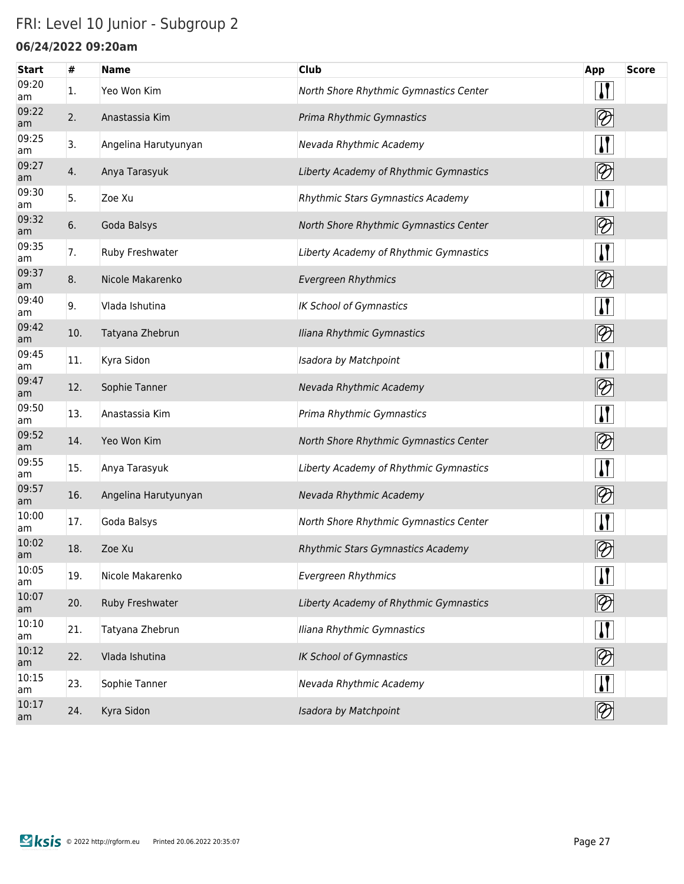## FRI: Level 10 Junior - Subgroup 2

### **06/24/2022 09:20am**

| <b>Start</b> | #   | <b>Name</b>          | <b>Club</b>                            | <b>App</b>                                 | <b>Score</b> |
|--------------|-----|----------------------|----------------------------------------|--------------------------------------------|--------------|
| 09:20<br>am  | 1.  | Yeo Won Kim          | North Shore Rhythmic Gymnastics Center | $\mathbf{I}$                               |              |
| 09:22<br>am  | 2.  | Anastassia Kim       | Prima Rhythmic Gymnastics              | $ \mathcal{D} $                            |              |
| 09:25<br>am  | 3.  | Angelina Harutyunyan | Nevada Rhythmic Academy                | $\mathbf{I}$                               |              |
| 09:27<br>am  | 4.  | Anya Tarasyuk        | Liberty Academy of Rhythmic Gymnastics | $ \mathcal{D} $                            |              |
| 09:30<br>am  | 5.  | Zoe Xu               | Rhythmic Stars Gymnastics Academy      | <u> }</u>                                  |              |
| 09:32<br>am  | 6.  | Goda Balsys          | North Shore Rhythmic Gymnastics Center | $ \mathcal{D} $                            |              |
| 09:35<br>am  | 7.  | Ruby Freshwater      | Liberty Academy of Rhythmic Gymnastics | $\mathbf{I}$                               |              |
| 09:37<br>am  | 8.  | Nicole Makarenko     | <b>Evergreen Rhythmics</b>             | $\boxed{2}$                                |              |
| 09:40<br>am  | 9.  | Vlada Ishutina       | <b>IK School of Gymnastics</b>         | $\mathbf{I}$                               |              |
| 09:42<br>am  | 10. | Tatyana Zhebrun      | Iliana Rhythmic Gymnastics             |                                            |              |
| 09:45<br>am  | 11. | Kyra Sidon           | Isadora by Matchpoint                  | $\mathbf{I}$                               |              |
| 09:47<br>am  | 12. | Sophie Tanner        | Nevada Rhythmic Academy                |                                            |              |
| 09:50<br>am  | 13. | Anastassia Kim       | Prima Rhythmic Gymnastics              | $\mathbf{I}$                               |              |
| 09:52<br>am  | 14. | Yeo Won Kim          | North Shore Rhythmic Gymnastics Center |                                            |              |
| 09:55<br>am  | 15. | Anya Tarasyuk        | Liberty Academy of Rhythmic Gymnastics | $\mathbf{\mathbf{I}}$                      |              |
| 09:57<br>am  | 16. | Angelina Harutyunyan | Nevada Rhythmic Academy                | $\lbrack\negmedspace\!\!\!\!\!2\, \rbrack$ |              |
| 10:00<br>am  | 17. | Goda Balsys          | North Shore Rhythmic Gymnastics Center | $\mathbf{I}$                               |              |
| 10:02<br>am  | 18. | Zoe Xu               | Rhythmic Stars Gymnastics Academy      | $\vartheta$                                |              |
| 10:05<br>am  | 19. | Nicole Makarenko     | <b>Evergreen Rhythmics</b>             | $\prod$                                    |              |
| 10:07<br>am  | 20. | Ruby Freshwater      | Liberty Academy of Rhythmic Gymnastics | $ \mathcal{D} $                            |              |
| 10:10<br>am  | 21. | Tatyana Zhebrun      | Iliana Rhythmic Gymnastics             | $\mathbf{\Pi}$                             |              |
| 10:12<br>am  | 22. | Vlada Ishutina       | <b>IK School of Gymnastics</b>         | $\boxed{2}$                                |              |
| 10:15<br>am  | 23. | Sophie Tanner        | Nevada Rhythmic Academy                | $\mathbf{I}$                               |              |
| 10:17<br>am  | 24. | Kyra Sidon           | Isadora by Matchpoint                  | $ \mathcal{D} $                            |              |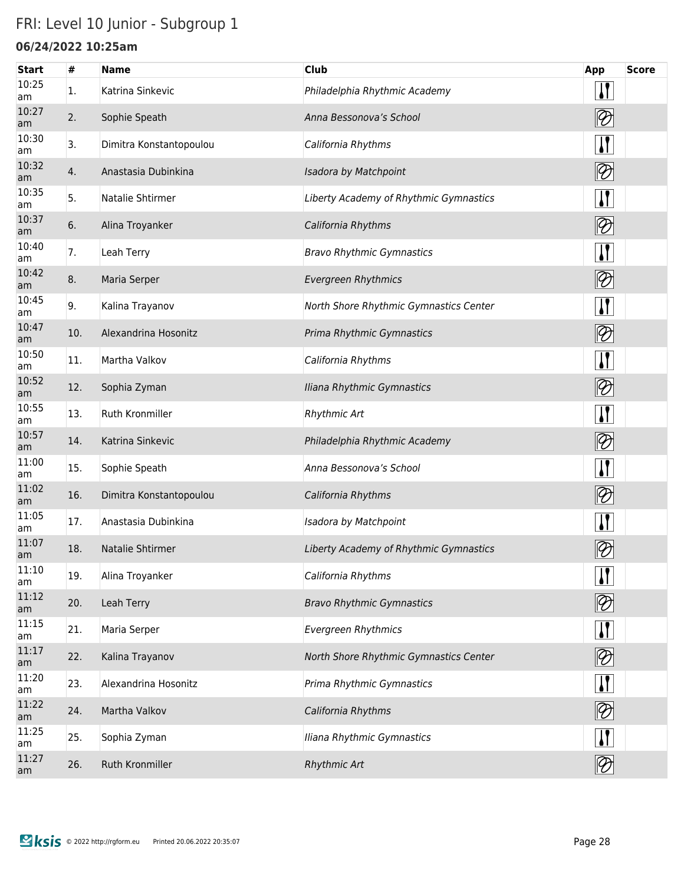## FRI: Level 10 Junior - Subgroup 1

### **06/24/2022 10:25am**

| <b>Start</b> | $\#$ | <b>Name</b>             | <b>Club</b>                            | App                                        | <b>Score</b> |
|--------------|------|-------------------------|----------------------------------------|--------------------------------------------|--------------|
| 10:25<br>am  | 1.   | Katrina Sinkevic        | Philadelphia Rhythmic Academy          | $\mathbf{I}$                               |              |
| 10:27<br>am  | 2.   | Sophie Speath           | Anna Bessonova's School                | $ \mathcal{D} $                            |              |
| 10:30<br>am  | 3.   | Dimitra Konstantopoulou | California Rhythms                     | $\mathbf{I}$                               |              |
| 10:32<br>am  | 4.   | Anastasia Dubinkina     | Isadora by Matchpoint                  | $\bigotimes$                               |              |
| 10:35<br>am  | 5.   | Natalie Shtirmer        | Liberty Academy of Rhythmic Gymnastics | $\mathbf{I}$                               |              |
| 10:37<br>am  | 6.   | Alina Troyanker         | California Rhythms                     | $ \mathcal{D} $                            |              |
| 10:40<br>am  | 7.   | Leah Terry              | <b>Bravo Rhythmic Gymnastics</b>       | $\mathbf{I}$                               |              |
| 10:42<br>am  | 8.   | Maria Serper            | <b>Evergreen Rhythmics</b>             | $\lbrack\negmedspace\leftarrow$            |              |
| 10:45<br>am  | 9.   | Kalina Trayanov         | North Shore Rhythmic Gymnastics Center | $\mathbf{I}$                               |              |
| 10:47<br>am  | 10.  | Alexandrina Hosonitz    | Prima Rhythmic Gymnastics              | $ \mathcal{D} $                            |              |
| 10:50<br>am  | 11.  | Martha Valkov           | California Rhythms                     | <u>  </u>                                  |              |
| 10:52<br>am  | 12.  | Sophia Zyman            | Iliana Rhythmic Gymnastics             | $\lbrack\negmedspace\leftarrow$            |              |
| 10:55<br>am  | 13.  | Ruth Kronmiller         | <b>Rhythmic Art</b>                    | $\mathbf{I}$                               |              |
| 10:57<br>am  | 14.  | Katrina Sinkevic        | Philadelphia Rhythmic Academy          |                                            |              |
| 11:00<br>am  | 15.  | Sophie Speath           | Anna Bessonova's School                | $\mathbf{I}$                               |              |
| 11:02<br>am  | 16.  | Dimitra Konstantopoulou | California Rhythms                     | $\boxed{2}$                                |              |
| 11:05<br>am  | 17.  | Anastasia Dubinkina     | Isadora by Matchpoint                  | $\mathbf{I}$                               |              |
| 11:07<br>am  | 18.  | Natalie Shtirmer        | Liberty Academy of Rhythmic Gymnastics | $\vartheta$                                |              |
| 11:10<br>am  | 19.  | Alina Troyanker         | California Rhythms                     | $\sqrt{ }$                                 |              |
| 11:12<br>am  | 20.  | Leah Terry              | <b>Bravo Rhythmic Gymnastics</b>       | $\lbrack\negmedspace\!\!\!\!\!2\, \rbrack$ |              |
| 11:15<br>am  | 21.  | Maria Serper            | <b>Evergreen Rhythmics</b>             | $\mathbf{\Pi}$                             |              |
| 11:17<br>am  | 22.  | Kalina Trayanov         | North Shore Rhythmic Gymnastics Center |                                            |              |
| 11:20<br>am  | 23.  | Alexandrina Hosonitz    | Prima Rhythmic Gymnastics              | <u> }</u>                                  |              |
| 11:22<br>am  | 24.  | Martha Valkov           | California Rhythms                     | $\boxed{2}$                                |              |
| 11:25<br>am  | 25.  | Sophia Zyman            | Iliana Rhythmic Gymnastics             | $\mathbf{I}$                               |              |
| 11:27<br>am  | 26.  | Ruth Kronmiller         | Rhythmic Art                           | $ \mathcal{D} $                            |              |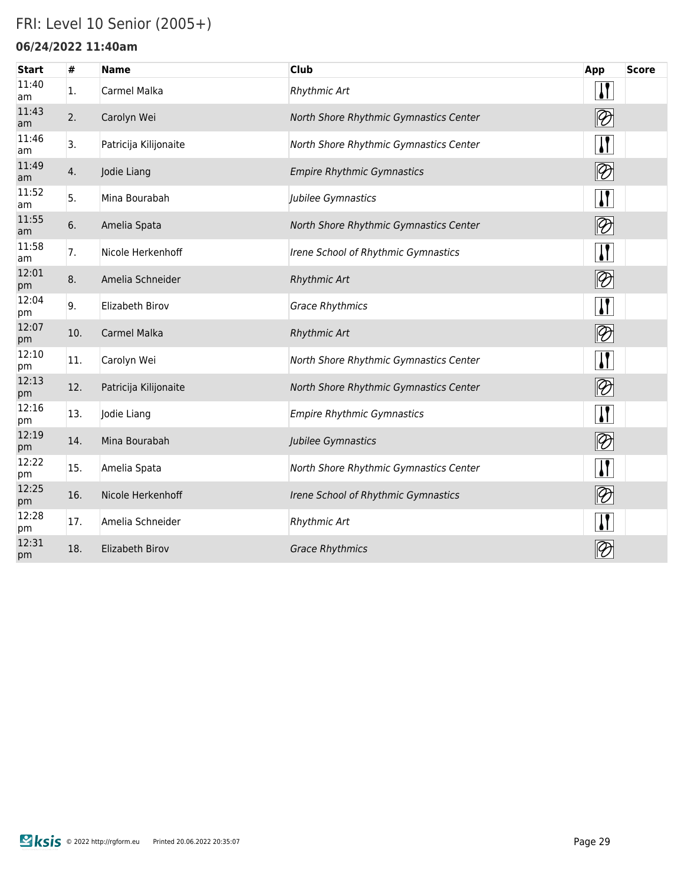### FRI: Level 10 Senior (2005+)

#### **06/24/2022 11:40am**

| <b>Start</b> | #   | <b>Name</b>           | <b>Club</b>                            | App                               | <b>Score</b> |
|--------------|-----|-----------------------|----------------------------------------|-----------------------------------|--------------|
| 11:40<br>am  | 1.  | Carmel Malka          | Rhythmic Art                           | $\prod$                           |              |
| 11:43<br>am  | 2.  | Carolyn Wei           | North Shore Rhythmic Gymnastics Center | $ \mathcal{D} $                   |              |
| 11:46<br>am  | 3.  | Patricija Kilijonaite | North Shore Rhythmic Gymnastics Center | $\mathbf{I}$                      |              |
| 11:49<br>am  | 4.  | Jodie Liang           | <b>Empire Rhythmic Gymnastics</b>      | $ \mathcal{D} $                   |              |
| 11:52<br>am  | 5.  | Mina Bourabah         | Jubilee Gymnastics                     | $\mathbf{I}$                      |              |
| 11:55<br>am  | 6.  | Amelia Spata          | North Shore Rhythmic Gymnastics Center | $ \mathcal{D} $                   |              |
| 11:58<br>am  | 7.  | Nicole Herkenhoff     | Irene School of Rhythmic Gymnastics    | $\mathbf{I}$                      |              |
| 12:01<br>pm  | 8.  | Amelia Schneider      | <b>Rhythmic Art</b>                    | $ \mathcal{D} $                   |              |
| 12:04<br>pm  | 9.  | Elizabeth Birov       | <b>Grace Rhythmics</b>                 | $\mathbf{I}$                      |              |
| 12:07<br>pm  | 10. | Carmel Malka          | Rhythmic Art                           | $ \mathcal{D} $                   |              |
| 12:10<br>pm  | 11. | Carolyn Wei           | North Shore Rhythmic Gymnastics Center | $\mathbf{I}$                      |              |
| 12:13<br>pm  | 12. | Patricija Kilijonaite | North Shore Rhythmic Gymnastics Center |                                   |              |
| 12:16<br>pm  | 13. | Jodie Liang           | <b>Empire Rhythmic Gymnastics</b>      | $\mathbf{I}$                      |              |
| 12:19<br>pm  | 14. | Mina Bourabah         | Jubilee Gymnastics                     | $\lvert\!\lvert\mathcal{D}\rvert$ |              |
| 12:22<br>pm  | 15. | Amelia Spata          | North Shore Rhythmic Gymnastics Center | $\mathbf{I}$                      |              |
| 12:25<br>pm  | 16. | Nicole Herkenhoff     | Irene School of Rhythmic Gymnastics    | $ \mathcal{D} $                   |              |
| 12:28<br>pm  | 17. | Amelia Schneider      | Rhythmic Art                           | $\mathbf{J}$                      |              |
| 12:31<br>pm  | 18. | Elizabeth Birov       | <b>Grace Rhythmics</b>                 | $\vartheta$                       |              |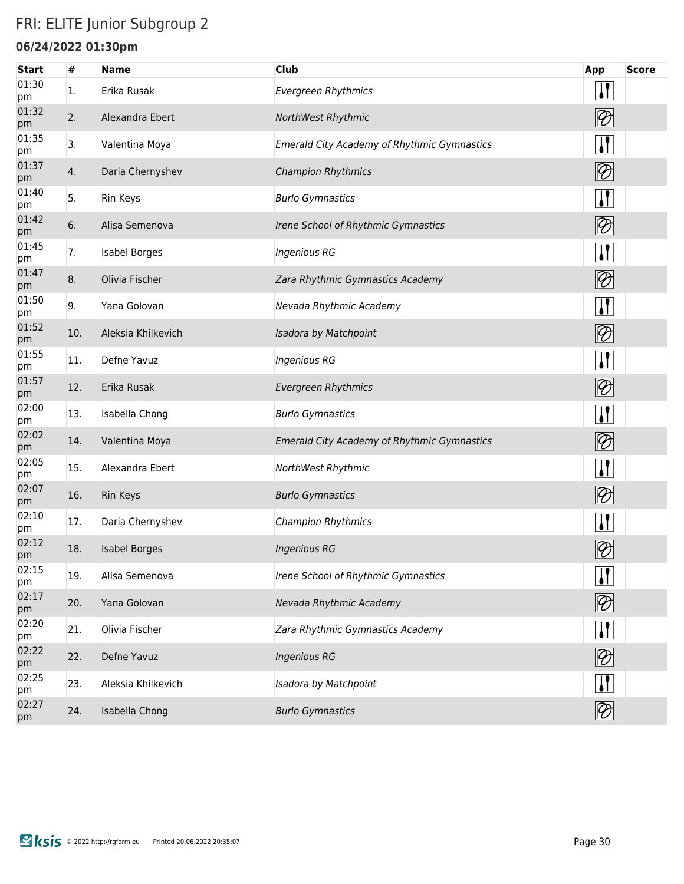### FRI: ELITE Junior Subgroup 2

### **06/24/2022 01:30pm**

| <b>Start</b> | #   | <b>Name</b>          | <b>Club</b>                                        | App                                    | <b>Score</b> |
|--------------|-----|----------------------|----------------------------------------------------|----------------------------------------|--------------|
| 01:30<br>pm  | 1.  | Erika Rusak          | <b>Evergreen Rhythmics</b>                         | $\mathbf{H}$                           |              |
| 01:32<br>pm  | 2.  | Alexandra Ebert      | NorthWest Rhythmic                                 | $\lvert\mathcal{D}\rvert$              |              |
| 01:35<br>pm  | 3.  | Valentina Moya       | <b>Emerald City Academy of Rhythmic Gymnastics</b> | $\mathbf{H}$                           |              |
| 01:37<br>pm  | 4.  | Daria Chernyshev     | <b>Champion Rhythmics</b>                          | $ \mathcal{D} $                        |              |
| 01:40<br>pm  | 5.  | <b>Rin Keys</b>      | <b>Burlo Gymnastics</b>                            | $\sqrt{1}$                             |              |
| 01:42<br>pm  | 6.  | Alisa Semenova       | Irene School of Rhythmic Gymnastics                | $ \mathcal{D} $                        |              |
| 01:45<br>pm  | 7.  | <b>Isabel Borges</b> | <b>Ingenious RG</b>                                | $\mathbf{H}$                           |              |
| 01:47<br>pm  | 8.  | Olivia Fischer       | Zara Rhythmic Gymnastics Academy                   | $\lvert \mathcal{D} \rvert$            |              |
| 01:50<br>pm  | 9.  | Yana Golovan         | Nevada Rhythmic Academy                            | $\mathbf{H}$                           |              |
| 01:52<br>pm  | 10. | Aleksia Khilkevich   | Isadora by Matchpoint                              | $\lbrack\!\lbrack\mathcal{D}\!\rbrack$ |              |
| 01:55<br>pm  | 11. | Defne Yavuz          | <b>Ingenious RG</b>                                | $\mathbf{H}$                           |              |
| 01:57<br>pm  | 12. | Erika Rusak          | <b>Evergreen Rhythmics</b>                         | $\lbrack\!\lbrack\mathcal{D}\!\rbrack$ |              |
| 02:00<br>pm  | 13. | Isabella Chong       | <b>Burlo Gymnastics</b>                            | $\mathbf{H}$                           |              |
| 02:02<br>pm  | 14. | Valentina Moya       | <b>Emerald City Academy of Rhythmic Gymnastics</b> | $\bigotimes$                           |              |
| 02:05<br>pm  | 15. | Alexandra Ebert      | NorthWest Rhythmic                                 | $\mathbf{H}$                           |              |
| 02:07<br>pm  | 16. | Rin Keys             | <b>Burlo Gymnastics</b>                            | $\bigotimes$                           |              |
| 02:10<br>pm  | 17. | Daria Chernyshev     | <b>Champion Rhythmics</b>                          | $\mathbf{I}$                           |              |
| 02:12<br>pm  | 18. | <b>Isabel Borges</b> | <b>Ingenious RG</b>                                |                                        |              |
| 02:15<br>pm  | 19. | Alisa Semenova       | Irene School of Rhythmic Gymnastics                | $\mathbf{H}$                           |              |
| 02:17<br>pm  | 20. | Yana Golovan         | Nevada Rhythmic Academy                            | $ \mathcal{D} $                        |              |
| 02:20<br>pm  | 21. | Olivia Fischer       | Zara Rhythmic Gymnastics Academy                   | $\mathbf{H}$                           |              |
| 02:22<br>pm  | 22. | Defne Yavuz          | <b>Ingenious RG</b>                                | $ \mathcal{D} $                        |              |
| 02:25<br>pm  | 23. | Aleksia Khilkevich   | Isadora by Matchpoint                              | $\mathbf{I}$                           |              |
| 02:27<br>pm  | 24. | Isabella Chong       | <b>Burlo Gymnastics</b>                            | $ \mathcal{D} $                        |              |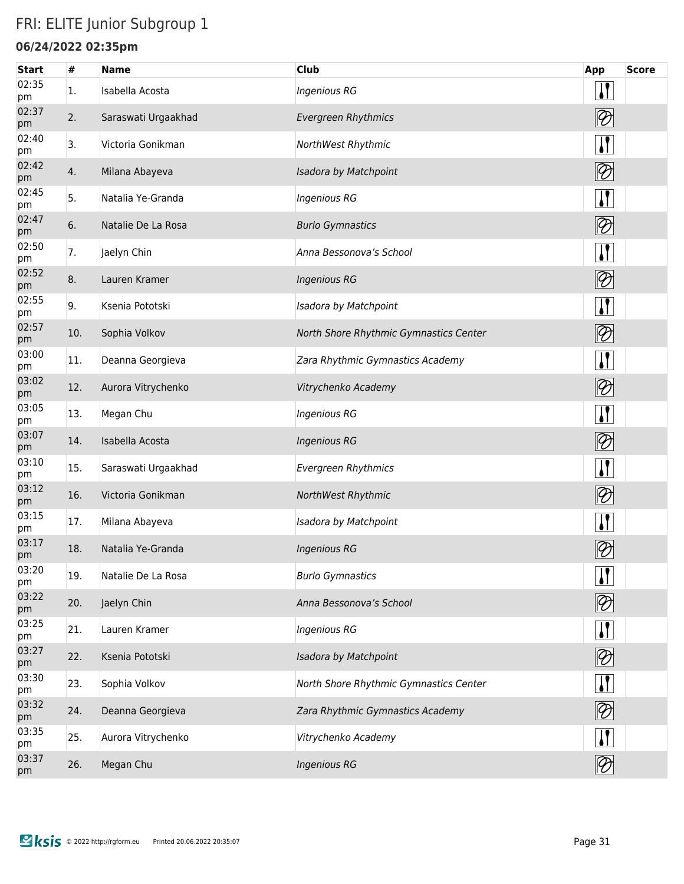## FRI: ELITE Junior Subgroup 1

### **06/24/2022 02:35pm**

| <b>Start</b> | #   | <b>Name</b>         | <b>Club</b>                            | App                             | <b>Score</b> |
|--------------|-----|---------------------|----------------------------------------|---------------------------------|--------------|
| 02:35<br>pm  | 1.  | Isabella Acosta     | Ingenious RG                           | <u> }</u>                       |              |
| 02:37<br>pm  | 2.  | Saraswati Urgaakhad | <b>Evergreen Rhythmics</b>             | $\boxed{\mathcal{D}}$           |              |
| 02:40<br>pm  | 3.  | Victoria Gonikman   | NorthWest Rhythmic                     | $\mathbf{\mathbf{\mathcal{V}}}$ |              |
| 02:42<br>pm  | 4.  | Milana Abayeva      | Isadora by Matchpoint                  | $\boxed{2}$                     |              |
| 02:45<br>pm  | 5.  | Natalia Ye-Granda   | <b>Ingenious RG</b>                    | $\sqrt{1}$                      |              |
| 02:47<br>pm  | 6.  | Natalie De La Rosa  | <b>Burlo Gymnastics</b>                | $\boxed{2}$                     |              |
| 02:50<br>pm  | 7.  | Jaelyn Chin         | Anna Bessonova's School                | $\boldsymbol{\mu}$              |              |
| 02:52<br>pm  | 8.  | Lauren Kramer       | <b>Ingenious RG</b>                    | $\boxed{2}$                     |              |
| 02:55<br>pm  | 9.  | Ksenia Pototski     | Isadora by Matchpoint                  | $\sqrt{1}$                      |              |
| 02:57<br>pm  | 10. | Sophia Volkov       | North Shore Rhythmic Gymnastics Center | $ \mathcal{D} $                 |              |
| 03:00<br>pm  | 11. | Deanna Georgieva    | Zara Rhythmic Gymnastics Academy       | $\sqrt{1}$                      |              |
| 03:02<br>pm  | 12. | Aurora Vitrychenko  | Vitrychenko Academy                    | $\boxed{2}$                     |              |
| 03:05<br>pm  | 13. | Megan Chu           | <b>Ingenious RG</b>                    | $\sqrt{1}$                      |              |
| 03:07<br>pm  | 14. | Isabella Acosta     | <b>Ingenious RG</b>                    | $\boxed{2}$                     |              |
| 03:10<br>pm  | 15. | Saraswati Urgaakhad | <b>Evergreen Rhythmics</b>             | $\mathbf{I}$                    |              |
| 03:12<br>pm  | 16. | Victoria Gonikman   | NorthWest Rhythmic                     | $\boxed{2}$                     |              |
| 03:15<br>pm  | 17. | Milana Abayeva      | Isadora by Matchpoint                  | $\mathbf{I}$                    |              |
| 03:17<br>pm  | 18. | Natalia Ye-Granda   | <b>Ingenious RG</b>                    | $\varphi$                       |              |
| 03:20<br>pm  | 19. | Natalie De La Rosa  | <b>Burlo Gymnastics</b>                | $\mathbf{I}$                    |              |
| 03:22<br>pm  | 20. | Jaelyn Chin         | Anna Bessonova's School                | $\boxed{2}$                     |              |
| 03:25<br>pm  | 21. | Lauren Kramer       | <b>Ingenious RG</b>                    | $\mathbf{H}$                    |              |
| 03:27<br>pm  | 22. | Ksenia Pototski     | Isadora by Matchpoint                  | $\boxed{2}$                     |              |
| 03:30<br>pm  | 23. | Sophia Volkov       | North Shore Rhythmic Gymnastics Center | $\mathbf{\mathbf{\mathcal{U}}}$ |              |
| 03:32<br>pm  | 24. | Deanna Georgieva    | Zara Rhythmic Gymnastics Academy       | $\boxed{2}$                     |              |
| 03:35<br>pm  | 25. | Aurora Vitrychenko  | Vitrychenko Academy                    | $\mathbf{I}$                    |              |
| 03:37<br>pm  | 26. | Megan Chu           | <b>Ingenious RG</b>                    | $ \mathcal{D} $                 |              |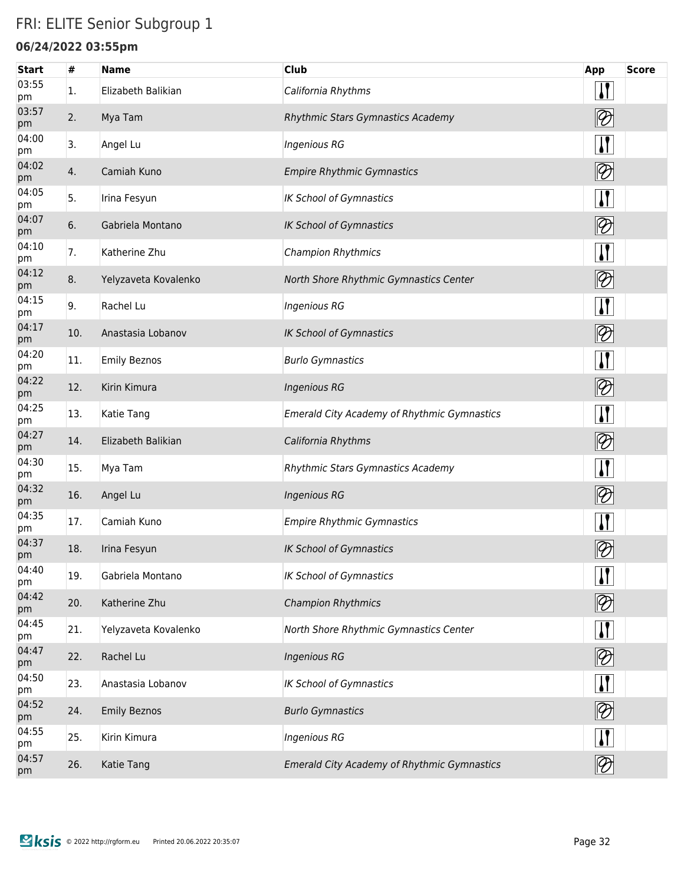### FRI: ELITE Senior Subgroup 1

#### **06/24/2022 03:55pm**

| <b>Start</b> | #   | <b>Name</b>          | <b>Club</b>                                        | App                               | <b>Score</b> |
|--------------|-----|----------------------|----------------------------------------------------|-----------------------------------|--------------|
| 03:55<br>pm  | 1.  | Elizabeth Balikian   | California Rhythms                                 | $\mathbf{I}$                      |              |
| 03:57<br>pm  | 2.  | Mya Tam              | Rhythmic Stars Gymnastics Academy                  | $ \mathcal{D} $                   |              |
| 04:00<br>pm  | 3.  | Angel Lu             | <b>Ingenious RG</b>                                | $\mathbf{H}$                      |              |
| 04:02<br>pm  | 4.  | Camiah Kuno          | <b>Empire Rhythmic Gymnastics</b>                  | $\boxed{\mathcal{D}}$             |              |
| 04:05<br>pm  | 5.  | Irina Fesyun         | <b>IK School of Gymnastics</b>                     | $\sqrt{1}$                        |              |
| 04:07<br>pm  | 6.  | Gabriela Montano     | <b>IK School of Gymnastics</b>                     | $\boxed{2}$                       |              |
| 04:10<br>pm  | 7.  | Katherine Zhu        | <b>Champion Rhythmics</b>                          | $\mathbf{H}$                      |              |
| 04:12<br>pm  | 8.  | Yelyzaveta Kovalenko | North Shore Rhythmic Gymnastics Center             | $\boxed{\mathcal{D}}$             |              |
| 04:15<br>pm  | 9.  | Rachel Lu            | <b>Ingenious RG</b>                                | $\mathbf{H}$                      |              |
| 04:17<br>pm  | 10. | Anastasia Lobanov    | <b>IK School of Gymnastics</b>                     | $\boxed{2}$                       |              |
| 04:20<br>pm  | 11. | <b>Emily Beznos</b>  | <b>Burlo Gymnastics</b>                            | $\mathbf{I}$                      |              |
| 04:22<br>pm  | 12. | Kirin Kimura         | <b>Ingenious RG</b>                                | $\boxed{2}$                       |              |
| 04:25<br>pm  | 13. | Katie Tang           | <b>Emerald City Academy of Rhythmic Gymnastics</b> | $\mathbf{I}$                      |              |
| 04:27<br>pm  | 14. | Elizabeth Balikian   | California Rhythms                                 | $\boxed{2}$                       |              |
| 04:30<br>pm  | 15. | Mya Tam              | Rhythmic Stars Gymnastics Academy                  | $\mathbf{I}$                      |              |
| 04:32<br>pm  | 16. | Angel Lu             | <b>Ingenious RG</b>                                | $\boxed{2}$                       |              |
| 04:35<br>pm  | 17. | Camiah Kuno          | <b>Empire Rhythmic Gymnastics</b>                  | $\mathbf{I}$                      |              |
| 04:37<br>pm  | 18. | Irina Fesyun         | IK School of Gymnastics                            | $\mathscr{D}$                     |              |
| 04:40<br>pm  | 19. | Gabriela Montano     | <b>IK School of Gymnastics</b>                     | $\mathbf{I}$                      |              |
| 04:42<br>pm  | 20. | Katherine Zhu        | <b>Champion Rhythmics</b>                          | $ \mathcal{D} $                   |              |
| 04:45<br>pm  | 21. | Yelyzaveta Kovalenko | North Shore Rhythmic Gymnastics Center             | $\mathbf{I}$                      |              |
| 04:47<br>pm  | 22. | Rachel Lu            | <b>Ingenious RG</b>                                | $ \mathcal{D} $                   |              |
| 04:50<br>pm  | 23. | Anastasia Lobanov    | <b>IK School of Gymnastics</b>                     | $\mathbf{I}$                      |              |
| 04:52<br>pm  | 24. | <b>Emily Beznos</b>  | <b>Burlo Gymnastics</b>                            | $\boxed{2}$                       |              |
| 04:55<br>pm  | 25. | Kirin Kimura         | <b>Ingenious RG</b>                                | <u>  </u>                         |              |
| 04:57<br>pm  | 26. | Katie Tang           | <b>Emerald City Academy of Rhythmic Gymnastics</b> | $\lvert\!\lvert\mathcal{D}\rvert$ |              |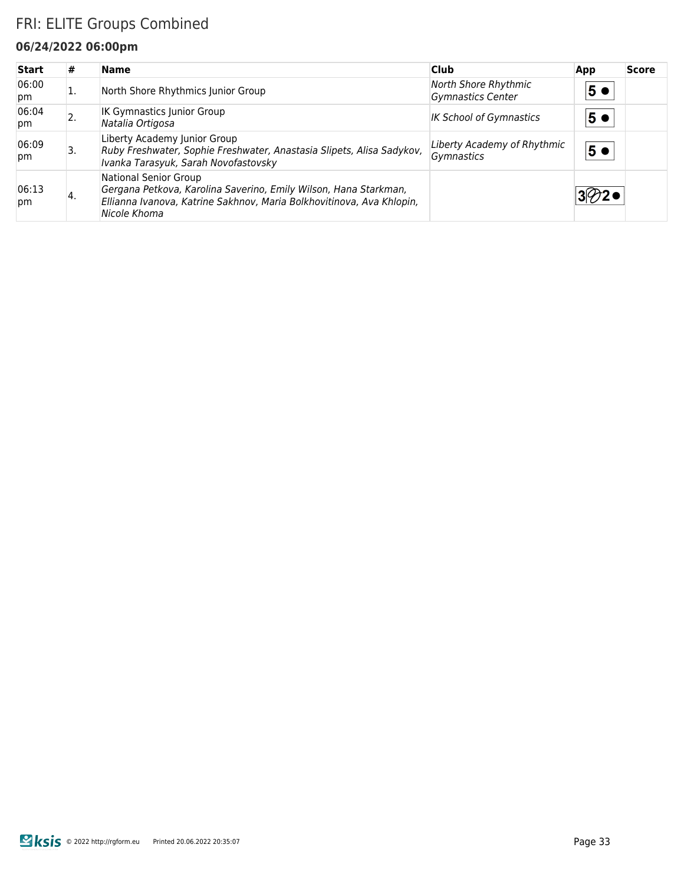### FRI: ELITE Groups Combined

#### **06/24/2022 06:00pm**

| <b>Start</b> | #  | <b>Name</b>                                                                                                                                                                        | <b>Club</b>                                      | App            | <b>Score</b> |
|--------------|----|------------------------------------------------------------------------------------------------------------------------------------------------------------------------------------|--------------------------------------------------|----------------|--------------|
| 06:00<br>pm  | ı. | North Shore Rhythmics Junior Group                                                                                                                                                 | North Shore Rhythmic<br><b>Gymnastics Center</b> | 5 <sub>0</sub> |              |
| 06:04<br>pm  |    | <b>IK Gymnastics Junior Group</b><br>Natalia Ortigosa                                                                                                                              | <b>IK School of Gymnastics</b>                   | 5 <sub>0</sub> |              |
| 06:09<br>pm  | 3. | Liberty Academy Junior Group<br>Ruby Freshwater, Sophie Freshwater, Anastasia Slipets, Alisa Sadykov,<br>Ivanka Tarasyuk, Sarah Novofastovsky                                      | Liberty Academy of Rhythmic<br>Gymnastics        | 5 <sub>o</sub> |              |
| 06:13<br>pm  | 4. | National Senior Group<br>Gergana Petkova, Karolina Saverino, Emily Wilson, Hana Starkman,<br>Ellianna Ivanova, Katrine Sakhnov, Maria Bolkhovitinova, Ava Khlopin,<br>Nicole Khoma |                                                  |                |              |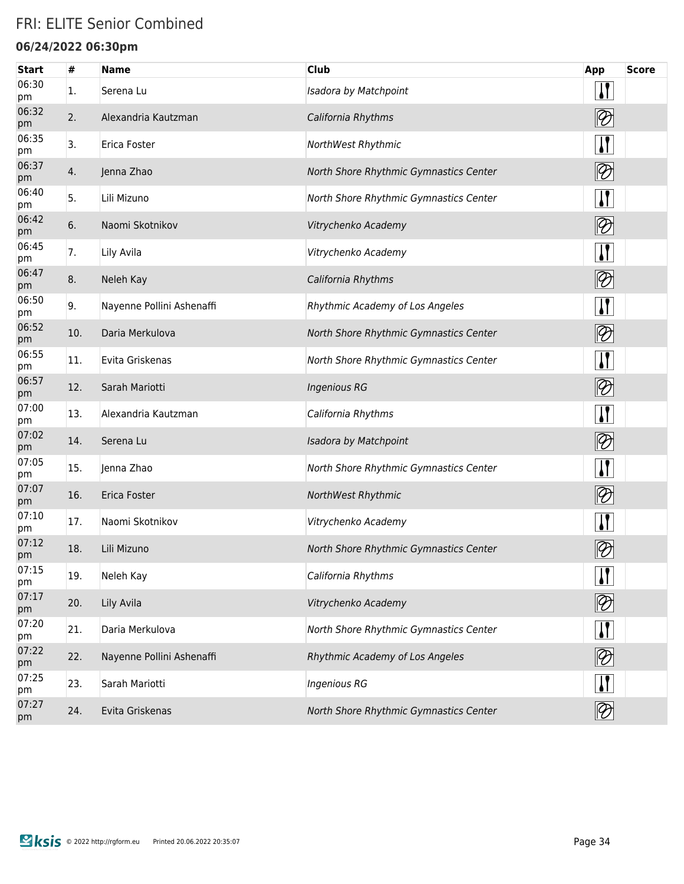### FRI: ELITE Senior Combined

#### **06/24/2022 06:30pm**

| <b>Start</b> | #   | <b>Name</b>               | <b>Club</b>                            | <b>App</b>                                 | <b>Score</b> |
|--------------|-----|---------------------------|----------------------------------------|--------------------------------------------|--------------|
| 06:30<br>pm  | 1.  | Serena Lu                 | Isadora by Matchpoint                  | $\mathbf{I}$                               |              |
| 06:32<br>pm  | 2.  | Alexandria Kautzman       | California Rhythms                     | $\lvert\!\lvert\mathcal{D}\rvert$          |              |
| 06:35<br>pm  | 3.  | Erica Foster              | NorthWest Rhythmic                     | $\mathbf{I}$                               |              |
| 06:37<br>pm  | 4.  | Jenna Zhao                | North Shore Rhythmic Gymnastics Center | $ \mathcal{D} $                            |              |
| 06:40<br>pm  | 5.  | Lili Mizuno               | North Shore Rhythmic Gymnastics Center | <u>  </u>                                  |              |
| 06:42<br>pm  | 6.  | Naomi Skotnikov           | Vitrychenko Academy                    | $\lbrack\negmedspace\!\!\!\!\!2\, \rbrack$ |              |
| 06:45<br>pm  | 7.  | Lily Avila                | Vitrychenko Academy                    | $\sqrt{ }$                                 |              |
| 06:47<br>pm  | 8.  | Neleh Kay                 | California Rhythms                     | $ \mathcal{D} $                            |              |
| 06:50<br>pm  | 9.  | Nayenne Pollini Ashenaffi | Rhythmic Academy of Los Angeles        | $\mathbf{I}$                               |              |
| 06:52<br>pm  | 10. | Daria Merkulova           | North Shore Rhythmic Gymnastics Center | $\lbrack\negmedspace\!\!\!\!\!2\, \rbrack$ |              |
| 06:55<br>pm  | 11. | Evita Griskenas           | North Shore Rhythmic Gymnastics Center | $\mathbf{I}$                               |              |
| 06:57<br>pm  | 12. | Sarah Mariotti            | <b>Ingenious RG</b>                    |                                            |              |
| 07:00<br>pm  | 13. | Alexandria Kautzman       | California Rhythms                     | $\mathbf{I}$                               |              |
| 07:02<br>pm  | 14. | Serena Lu                 | Isadora by Matchpoint                  | $\lbrack\negmedspace\!\!\!\!\!2\, \rbrack$ |              |
| 07:05<br>pm  | 15. | Jenna Zhao                | North Shore Rhythmic Gymnastics Center | $\mathbf{I}$                               |              |
| 07:07<br>pm  | 16. | Erica Foster              | NorthWest Rhythmic                     | $\lbrack\negmedspace\!\!\!\!\!2\, \rbrack$ |              |
| 07:10<br>pm  | 17. | Naomi Skotnikov           | Vitrychenko Academy                    | $\mathbf{I}$                               |              |
| 07:12<br>pm  | 18. | Lili Mizuno               | North Shore Rhythmic Gymnastics Center | $\mathscr{Y}$                              |              |
| 07:15<br>pm  | 19. | Neleh Kay                 | California Rhythms                     | $\mathbf{\mathbf{I}}$                      |              |
| 07:17<br>pm  | 20. | Lily Avila                | Vitrychenko Academy                    | $\boxed{2}$                                |              |
| 07:20<br>pm  | 21. | Daria Merkulova           | North Shore Rhythmic Gymnastics Center | $\mathbf{H}$                               |              |
| 07:22<br>pm  | 22. | Nayenne Pollini Ashenaffi | Rhythmic Academy of Los Angeles        | $ \mathcal{D} $                            |              |
| 07:25<br>pm  | 23. | Sarah Mariotti            | <b>Ingenious RG</b>                    | $\mathbf{\Pi}$                             |              |
| 07:27<br>pm  | 24. | Evita Griskenas           | North Shore Rhythmic Gymnastics Center | $ \mathcal{D} $                            |              |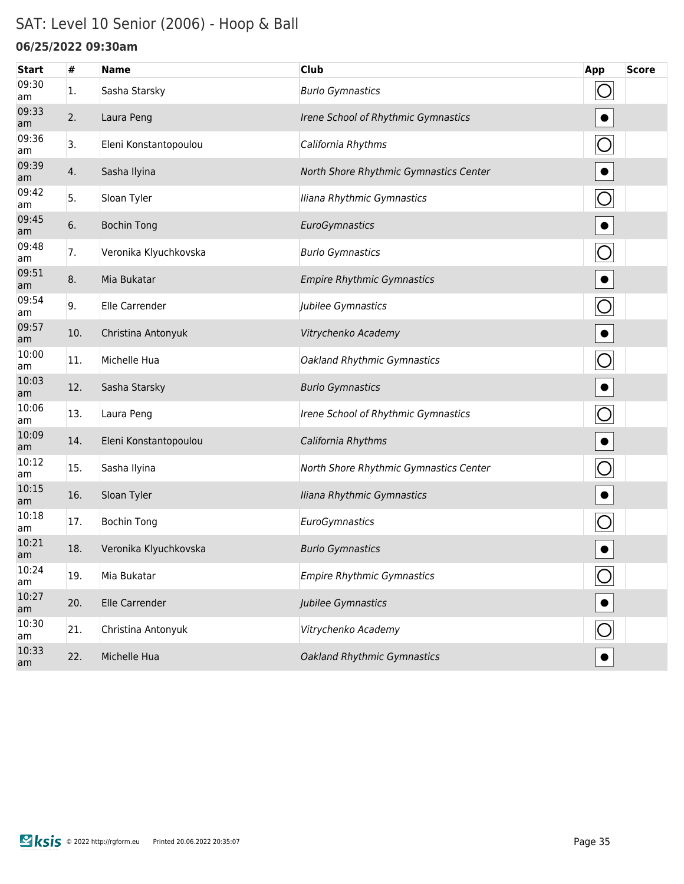### SAT: Level 10 Senior (2006) - Hoop & Ball

#### **06/25/2022 09:30am**

| <b>Start</b> | #   | <b>Name</b>           | <b>Club</b>                            | App            | <b>Score</b> |
|--------------|-----|-----------------------|----------------------------------------|----------------|--------------|
| 09:30<br>am  | 1.  | Sasha Starsky         | <b>Burlo Gymnastics</b>                | O              |              |
| 09:33<br>am  | 2.  | Laura Peng            | Irene School of Rhythmic Gymnastics    |                |              |
| 09:36<br>am  | 3.  | Eleni Konstantopoulou | California Rhythms                     | $\bigcirc$     |              |
| 09:39<br>am  | 4.  | Sasha Ilyina          | North Shore Rhythmic Gymnastics Center | $\bullet$      |              |
| 09:42<br>am  | 5.  | Sloan Tyler           | Iliana Rhythmic Gymnastics             | $\bigcirc$     |              |
| 09:45<br>am  | 6.  | <b>Bochin Tong</b>    | EuroGymnastics                         | $\bullet$      |              |
| 09:48<br>am  | 7.  | Veronika Klyuchkovska | <b>Burlo Gymnastics</b>                | $\bigcirc$     |              |
| 09:51<br>am  | 8.  | Mia Bukatar           | <b>Empire Rhythmic Gymnastics</b>      | $\bullet$      |              |
| 09:54<br>am  | 9.  | Elle Carrender        | Jubilee Gymnastics                     | $\bigcirc$     |              |
| 09:57<br>am  | 10. | Christina Antonyuk    | Vitrychenko Academy                    | $\bullet$      |              |
| 10:00<br>am  | 11. | Michelle Hua          | <b>Oakland Rhythmic Gymnastics</b>     | $\bigcirc$     |              |
| 10:03<br>am  | 12. | Sasha Starsky         | <b>Burlo Gymnastics</b>                | $\bullet$      |              |
| 10:06<br>am  | 13. | Laura Peng            | Irene School of Rhythmic Gymnastics    | $\bigcirc$     |              |
| 10:09<br>am  | 14. | Eleni Konstantopoulou | California Rhythms                     | $\bullet$      |              |
| 10:12<br>am  | 15. | Sasha Ilyina          | North Shore Rhythmic Gymnastics Center | $\bigcirc$     |              |
| 10:15<br>am  | 16. | Sloan Tyler           | Iliana Rhythmic Gymnastics             |                |              |
| 10:18<br>am  | 17. | <b>Bochin Tong</b>    | EuroGymnastics                         |                |              |
| 10:21<br>am  | 18. | Veronika Klyuchkovska | <b>Burlo Gymnastics</b>                |                |              |
| 10:24<br>am  | 19. | Mia Bukatar           | <b>Empire Rhythmic Gymnastics</b>      | $\bigcirc$     |              |
| 10:27<br>am  | 20. | Elle Carrender        | Jubilee Gymnastics                     |                |              |
| 10:30<br>am  | 21. | Christina Antonyuk    | Vitrychenko Academy                    | $\overline{O}$ |              |
| 10:33<br>am  | 22. | Michelle Hua          | Oakland Rhythmic Gymnastics            |                |              |